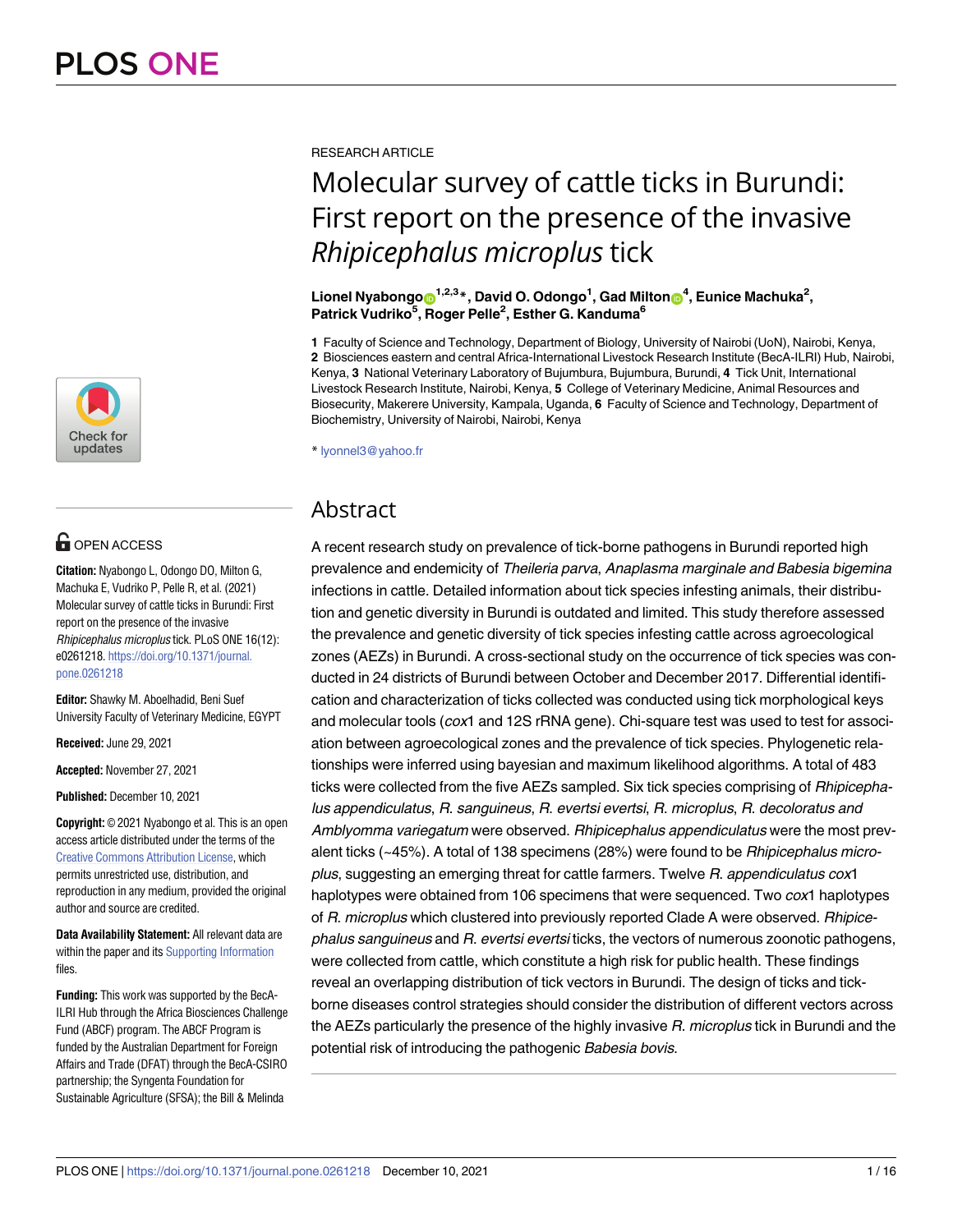

## **OPEN ACCESS**

**Citation:** Nyabongo L, Odongo DO, Milton G, Machuka E, Vudriko P, Pelle R, et al. (2021) Molecular survey of cattle ticks in Burundi: First report on the presence of the invasive Rhipicephalus microplus tick. PLoS ONE 16(12): e0261218. [https://doi.org/10.1371/journal.](https://doi.org/10.1371/journal.pone.0261218) [pone.0261218](https://doi.org/10.1371/journal.pone.0261218)

**Editor:** Shawky M. Aboelhadid, Beni Suef University Faculty of Veterinary Medicine, EGYPT

**Received:** June 29, 2021

**Accepted:** November 27, 2021

**Published:** December 10, 2021

**Copyright:** © 2021 Nyabongo et al. This is an open access article distributed under the terms of the Creative Commons [Attribution](http://creativecommons.org/licenses/by/4.0/) License, which permits unrestricted use, distribution, and reproduction in any medium, provided the original author and source are credited.

**Data Availability Statement:** All relevant data are within the paper and its Supporting [Information](#page-12-0) files.

**Funding:** This work was supported by the BecA-ILRI Hub through the Africa Biosciences Challenge Fund (ABCF) program. The ABCF Program is funded by the Australian Department for Foreign Affairs and Trade (DFAT) through the BecA-CSIRO partnership; the Syngenta Foundation for Sustainable Agriculture (SFSA); the Bill & Melinda

RESEARCH ARTICLE

# Molecular survey of cattle ticks in Burundi: First report on the presence of the invasive *Rhipicephalus microplus* tick

## $\blacksquare$  Lionel Nyabongo $\blacksquare^{1,2,3}$ \*, David O. Odongo $^1$ , Gad Milton $\blacksquare^4$ , Eunice Machuka $^2$ , **Patrick Vudriko5 , Roger Pelle2 , Esther G. Kanduma6**

**1** Faculty of Science and Technology, Department of Biology, University of Nairobi (UoN), Nairobi, Kenya, **2** Biosciences eastern and central Africa-International Livestock Research Institute (BecA-ILRI) Hub, Nairobi, Kenya, **3** National Veterinary Laboratory of Bujumbura, Bujumbura, Burundi, **4** Tick Unit, International Livestock Research Institute, Nairobi, Kenya, **5** College of Veterinary Medicine, Animal Resources and Biosecurity, Makerere University, Kampala, Uganda, **6** Faculty of Science and Technology, Department of Biochemistry, University of Nairobi, Nairobi, Kenya

\* lyonnel3@yahoo.fr

## Abstract

A recent research study on prevalence of tick-borne pathogens in Burundi reported high prevalence and endemicity of Theileria parva, Anaplasma marginale and Babesia bigemina infections in cattle. Detailed information about tick species infesting animals, their distribution and genetic diversity in Burundi is outdated and limited. This study therefore assessed the prevalence and genetic diversity of tick species infesting cattle across agroecological zones (AEZs) in Burundi. A cross-sectional study on the occurrence of tick species was conducted in 24 districts of Burundi between October and December 2017. Differential identification and characterization of ticks collected was conducted using tick morphological keys and molecular tools (cox1 and 12S rRNA gene). Chi-square test was used to test for association between agroecological zones and the prevalence of tick species. Phylogenetic relationships were inferred using bayesian and maximum likelihood algorithms. A total of 483 ticks were collected from the five AEZs sampled. Six tick species comprising of *Rhipicepha*lus appendiculatus, R. sanguineus, R. evertsi evertsi, R. microplus, R. decoloratus and Amblyomma variegatum were observed. Rhipicephalus appendiculatus were the most prevalent ticks (~45%). A total of 138 specimens (28%) were found to be Rhipicephalus microplus, suggesting an emerging threat for cattle farmers. Twelve R. appendiculatus cox1 haplotypes were obtained from 106 specimens that were sequenced. Two cox1 haplotypes of R. microplus which clustered into previously reported Clade A were observed. Rhipicephalus sanguineus and R. evertsi evertsi ticks, the vectors of numerous zoonotic pathogens, were collected from cattle, which constitute a high risk for public health. These findings reveal an overlapping distribution of tick vectors in Burundi. The design of ticks and tickborne diseases control strategies should consider the distribution of different vectors across the AEZs particularly the presence of the highly invasive R. microplus tick in Burundi and the potential risk of introducing the pathogenic Babesia bovis.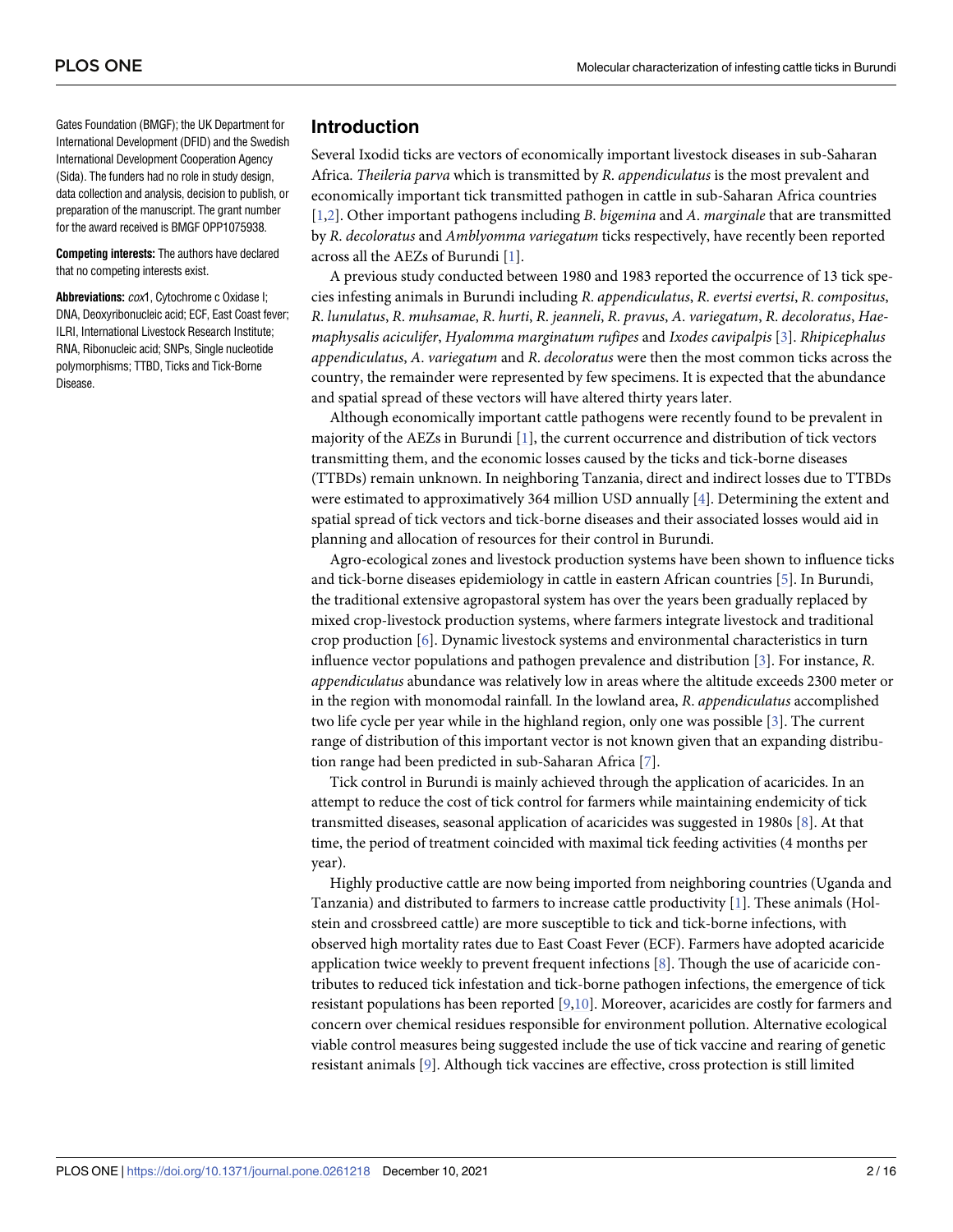<span id="page-1-0"></span>Gates Foundation (BMGF); the UK Department for International Development (DFID) and the Swedish International Development Cooperation Agency (Sida). The funders had no role in study design, data collection and analysis, decision to publish, or preparation of the manuscript. The grant number for the award received is BMGF OPP1075938.

**Competing interests:** The authors have declared that no competing interests exist.

**Abbreviations:** cox1, Cytochrome c Oxidase I; DNA, Deoxyribonucleic acid; ECF, East Coast fever; ILRI, International Livestock Research Institute; RNA, Ribonucleic acid; SNPs, Single nucleotide polymorphisms; TTBD, Ticks and Tick-Borne Disease.

## **Introduction**

Several Ixodid ticks are vectors of economically important livestock diseases in sub-Saharan Africa. *Theileria parva* which is transmitted by *R*. *appendiculatus* is the most prevalent and economically important tick transmitted pathogen in cattle in sub-Saharan Africa countries [\[1](#page-12-0)[,2](#page-13-0)]. Other important pathogens including *B*. *bigemina* and *A*. *marginale* that are transmitted by *R*. *decoloratus* and *Amblyomma variegatum* ticks respectively, have recently been reported across all the AEZs of Burundi [[1](#page-12-0)].

A previous study conducted between 1980 and 1983 reported the occurrence of 13 tick species infesting animals in Burundi including *R*. *appendiculatus*, *R*. *evertsi evertsi*, *R*. *compositus*, *R*. *lunulatus*, *R*. *muhsamae*, *R*. *hurti*, *R*. *jeanneli*, *R*. *pravus*, *A*. *variegatum*, *R*. *decoloratus*, *Haemaphysalis aciculifer*, *Hyalomma marginatum rufipes* and *Ixodes cavipalpis* [[3](#page-13-0)]. *Rhipicephalus appendiculatus*, *A*. *variegatum* and *R*. *decoloratus* were then the most common ticks across the country, the remainder were represented by few specimens. It is expected that the abundance and spatial spread of these vectors will have altered thirty years later.

Although economically important cattle pathogens were recently found to be prevalent in majority of the AEZs in Burundi [[1\]](#page-12-0), the current occurrence and distribution of tick vectors transmitting them, and the economic losses caused by the ticks and tick-borne diseases (TTBDs) remain unknown. In neighboring Tanzania, direct and indirect losses due to TTBDs were estimated to approximatively 364 million USD annually [[4](#page-13-0)]. Determining the extent and spatial spread of tick vectors and tick-borne diseases and their associated losses would aid in planning and allocation of resources for their control in Burundi.

Agro-ecological zones and livestock production systems have been shown to influence ticks and tick-borne diseases epidemiology in cattle in eastern African countries [[5\]](#page-13-0). In Burundi, the traditional extensive agropastoral system has over the years been gradually replaced by mixed crop-livestock production systems, where farmers integrate livestock and traditional crop production [[6\]](#page-13-0). Dynamic livestock systems and environmental characteristics in turn influence vector populations and pathogen prevalence and distribution [[3](#page-13-0)]. For instance, *R*. *appendiculatus* abundance was relatively low in areas where the altitude exceeds 2300 meter or in the region with monomodal rainfall. In the lowland area, *R*. *appendiculatus* accomplished two life cycle per year while in the highland region, only one was possible [[3](#page-13-0)]. The current range of distribution of this important vector is not known given that an expanding distribution range had been predicted in sub-Saharan Africa [[7\]](#page-13-0).

Tick control in Burundi is mainly achieved through the application of acaricides. In an attempt to reduce the cost of tick control for farmers while maintaining endemicity of tick transmitted diseases, seasonal application of acaricides was suggested in 1980s [[8\]](#page-13-0). At that time, the period of treatment coincided with maximal tick feeding activities (4 months per year).

Highly productive cattle are now being imported from neighboring countries (Uganda and Tanzania) and distributed to farmers to increase cattle productivity [\[1\]](#page-12-0). These animals (Holstein and crossbreed cattle) are more susceptible to tick and tick-borne infections, with observed high mortality rates due to East Coast Fever (ECF). Farmers have adopted acaricide application twice weekly to prevent frequent infections [\[8](#page-13-0)]. Though the use of acaricide contributes to reduced tick infestation and tick-borne pathogen infections, the emergence of tick resistant populations has been reported [\[9,10\]](#page-13-0). Moreover, acaricides are costly for farmers and concern over chemical residues responsible for environment pollution. Alternative ecological viable control measures being suggested include the use of tick vaccine and rearing of genetic resistant animals [[9](#page-13-0)]. Although tick vaccines are effective, cross protection is still limited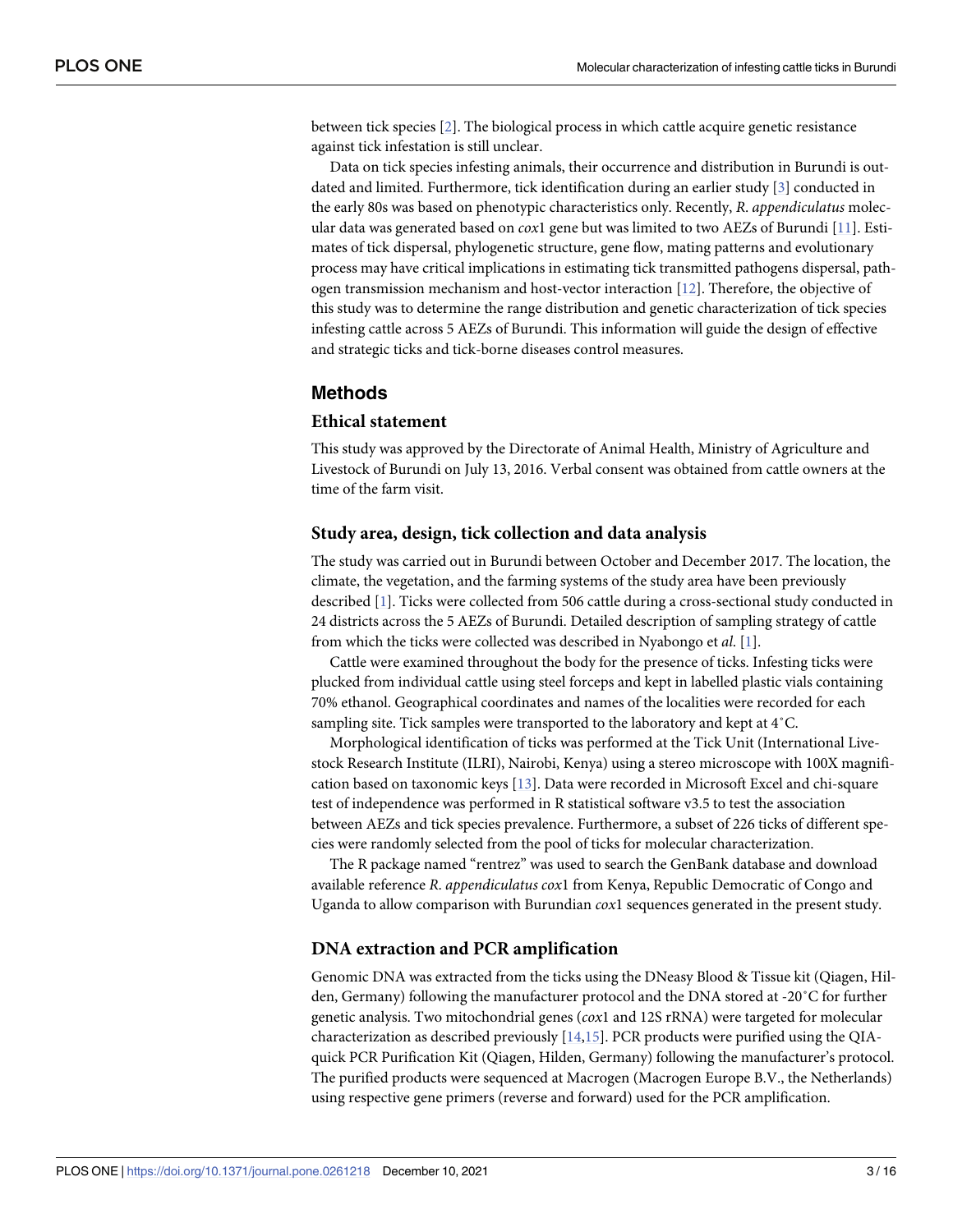<span id="page-2-0"></span>between tick species [[2](#page-13-0)]. The biological process in which cattle acquire genetic resistance against tick infestation is still unclear.

Data on tick species infesting animals, their occurrence and distribution in Burundi is outdated and limited. Furthermore, tick identification during an earlier study [[3\]](#page-13-0) conducted in the early 80s was based on phenotypic characteristics only. Recently, *R*. *appendiculatus* molecular data was generated based on *cox*1 gene but was limited to two AEZs of Burundi [\[11\]](#page-13-0). Estimates of tick dispersal, phylogenetic structure, gene flow, mating patterns and evolutionary process may have critical implications in estimating tick transmitted pathogens dispersal, pathogen transmission mechanism and host-vector interaction [[12](#page-13-0)]. Therefore, the objective of this study was to determine the range distribution and genetic characterization of tick species infesting cattle across 5 AEZs of Burundi. This information will guide the design of effective and strategic ticks and tick-borne diseases control measures.

## **Methods**

## **Ethical statement**

This study was approved by the Directorate of Animal Health, Ministry of Agriculture and Livestock of Burundi on July 13, 2016. Verbal consent was obtained from cattle owners at the time of the farm visit.

## **Study area, design, tick collection and data analysis**

The study was carried out in Burundi between October and December 2017. The location, the climate, the vegetation, and the farming systems of the study area have been previously described [[1\]](#page-12-0). Ticks were collected from 506 cattle during a cross-sectional study conducted in 24 districts across the 5 AEZs of Burundi. Detailed description of sampling strategy of cattle from which the ticks were collected was described in Nyabongo et *al*. [[1\]](#page-12-0).

Cattle were examined throughout the body for the presence of ticks. Infesting ticks were plucked from individual cattle using steel forceps and kept in labelled plastic vials containing 70% ethanol. Geographical coordinates and names of the localities were recorded for each sampling site. Tick samples were transported to the laboratory and kept at 4˚C.

Morphological identification of ticks was performed at the Tick Unit (International Livestock Research Institute (ILRI), Nairobi, Kenya) using a stereo microscope with 100X magnification based on taxonomic keys [\[13\]](#page-13-0). Data were recorded in Microsoft Excel and chi-square test of independence was performed in R statistical software v3.5 to test the association between AEZs and tick species prevalence. Furthermore, a subset of 226 ticks of different species were randomly selected from the pool of ticks for molecular characterization.

The R package named "rentrez" was used to search the GenBank database and download available reference *R*. *appendiculatus cox*1 from Kenya, Republic Democratic of Congo and Uganda to allow comparison with Burundian *cox*1 sequences generated in the present study.

## **DNA extraction and PCR amplification**

Genomic DNA was extracted from the ticks using the DNeasy Blood & Tissue kit (Qiagen, Hilden, Germany) following the manufacturer protocol and the DNA stored at -20˚C for further genetic analysis. Two mitochondrial genes (*cox*1 and 12S rRNA) were targeted for molecular characterization as described previously [\[14,15](#page-13-0)]. PCR products were purified using the QIAquick PCR Purification Kit (Qiagen, Hilden, Germany) following the manufacturer's protocol. The purified products were sequenced at Macrogen (Macrogen Europe B.V., the Netherlands) using respective gene primers (reverse and forward) used for the PCR amplification.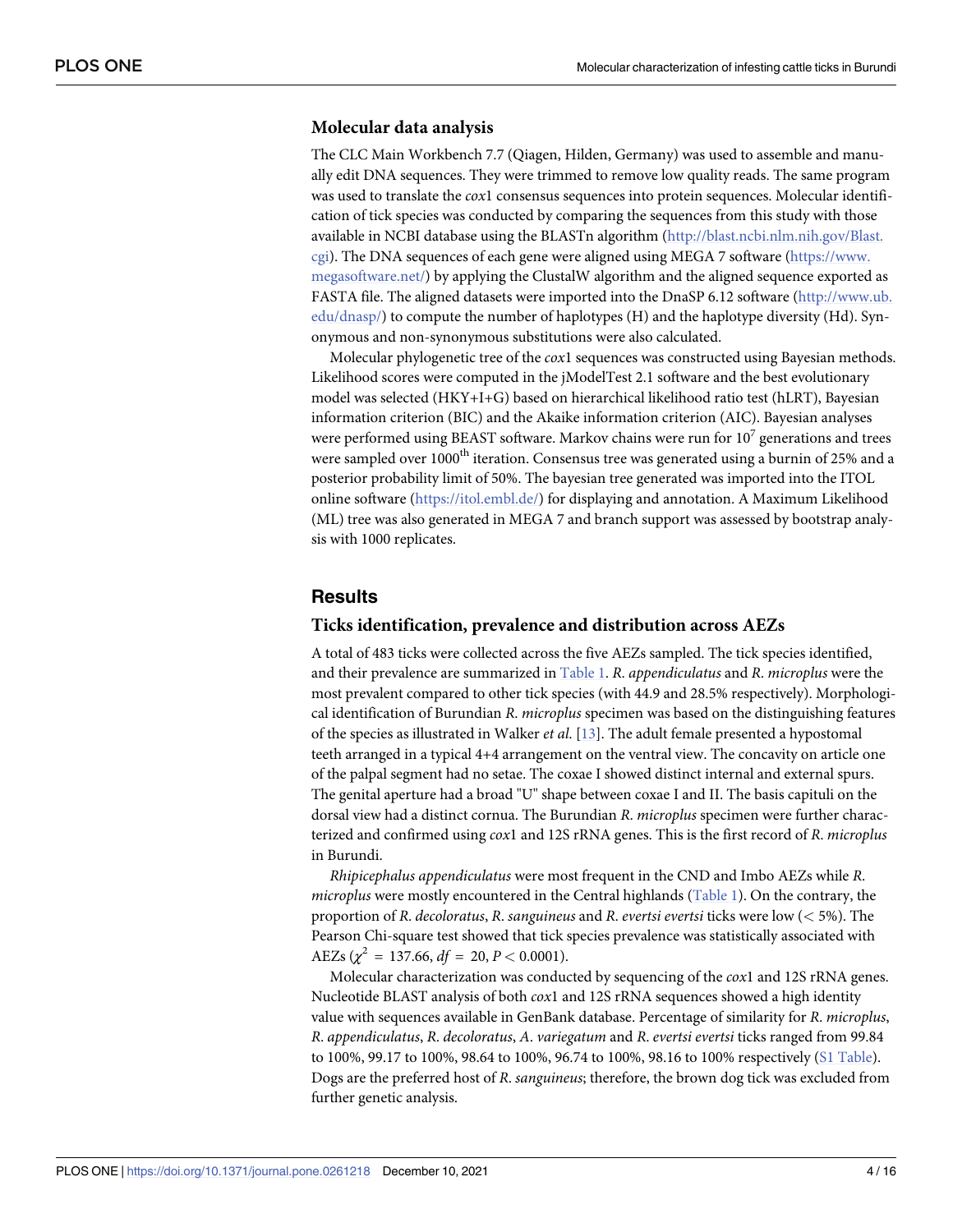## <span id="page-3-0"></span>**Molecular data analysis**

The CLC Main Workbench 7.7 (Qiagen, Hilden, Germany) was used to assemble and manually edit DNA sequences. They were trimmed to remove low quality reads. The same program was used to translate the *cox*1 consensus sequences into protein sequences. Molecular identification of tick species was conducted by comparing the sequences from this study with those available in NCBI database using the BLASTn algorithm ([http://blast.ncbi.nlm.nih.gov/Blast.](http://blast.ncbi.nlm.nih.gov/Blast.cgi) [cgi\)](http://blast.ncbi.nlm.nih.gov/Blast.cgi). The DNA sequences of each gene were aligned using MEGA 7 software ([https://www.](https://www.megasoftware.net/) [megasoftware.net/](https://www.megasoftware.net/)) by applying the ClustalW algorithm and the aligned sequence exported as FASTA file. The aligned datasets were imported into the DnaSP 6.12 software [\(http://www.ub.](http://www.ub.edu/dnasp/) [edu/dnasp/](http://www.ub.edu/dnasp/)) to compute the number of haplotypes (H) and the haplotype diversity (Hd). Synonymous and non-synonymous substitutions were also calculated.

Molecular phylogenetic tree of the *cox*1 sequences was constructed using Bayesian methods. Likelihood scores were computed in the jModelTest 2.1 software and the best evolutionary model was selected (HKY+I+G) based on hierarchical likelihood ratio test (hLRT), Bayesian information criterion (BIC) and the Akaike information criterion (AIC). Bayesian analyses were performed using BEAST software. Markov chains were run for  $10<sup>7</sup>$  generations and trees were sampled over 1000<sup>th</sup> iteration. Consensus tree was generated using a burnin of 25% and a posterior probability limit of 50%. The bayesian tree generated was imported into the ITOL online software (<https://itol.embl.de/>) for displaying and annotation. A Maximum Likelihood (ML) tree was also generated in MEGA 7 and branch support was assessed by bootstrap analysis with 1000 replicates.

## **Results**

## **Ticks identification, prevalence and distribution across AEZs**

A total of 483 ticks were collected across the five AEZs sampled. The tick species identified, and their prevalence are summarized in [Table](#page-4-0) 1. *R*. *appendiculatus* and *R*. *microplus* were the most prevalent compared to other tick species (with 44.9 and 28.5% respectively). Morphological identification of Burundian *R*. *microplus* specimen was based on the distinguishing features of the species as illustrated in Walker *et al*. [\[13\]](#page-13-0). The adult female presented a hypostomal teeth arranged in a typical 4+4 arrangement on the ventral view. The concavity on article one of the palpal segment had no setae. The coxae I showed distinct internal and external spurs. The genital aperture had a broad "U" shape between coxae I and II. The basis capituli on the dorsal view had a distinct cornua. The Burundian *R*. *microplus* specimen were further characterized and confirmed using *cox*1 and 12S rRNA genes. This is the first record of *R*. *microplus* in Burundi.

*Rhipicephalus appendiculatus* were most frequent in the CND and Imbo AEZs while *R*. *microplus* were mostly encountered in the Central highlands [\(Table](#page-4-0) 1). On the contrary, the proportion of *R*. *decoloratus*, *R*. *sanguineus* and *R*. *evertsi evertsi* ticks were low (*<* 5%). The Pearson Chi-square test showed that tick species prevalence was statistically associated with  $AEZs$  ( $\chi^2 = 137.66$ ,  $df = 20$ ,  $P < 0.0001$ ).

Molecular characterization was conducted by sequencing of the *cox*1 and 12S rRNA genes. Nucleotide BLAST analysis of both *cox*1 and 12S rRNA sequences showed a high identity value with sequences available in GenBank database. Percentage of similarity for *R*. *microplus*, *R*. *appendiculatus*, *R*. *decoloratus*, *A*. *variegatum* and *R*. *evertsi evertsi* ticks ranged from 99.84 to 100%, 99.17 to 100%, 98.64 to 100%, 96.74 to 100%, 98.16 to 100% respectively (S1 [Table\)](#page-12-0). Dogs are the preferred host of *R*. *sanguineus*; therefore, the brown dog tick was excluded from further genetic analysis.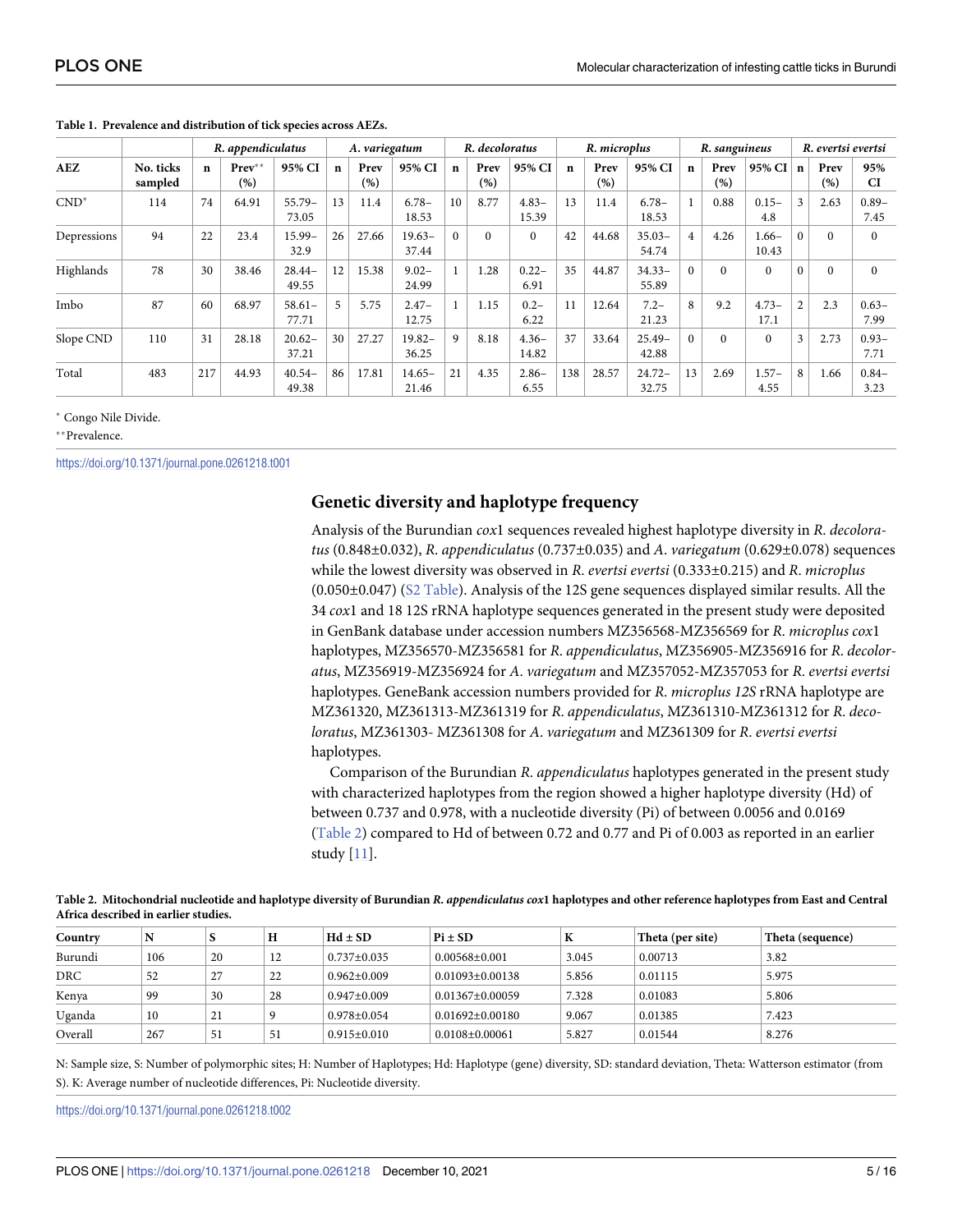|             |                      | R. appendiculatus |                 |                   |             | A. variegatum |                    |             | R. decoloratus |                  |              | R. microplus |                    |                | R. sanguineus |                   |             | R. evertsi evertsi |                  |
|-------------|----------------------|-------------------|-----------------|-------------------|-------------|---------------|--------------------|-------------|----------------|------------------|--------------|--------------|--------------------|----------------|---------------|-------------------|-------------|--------------------|------------------|
| AEZ         | No. ticks<br>sampled | $\mathbf n$       | $Prev**$<br>(%) | 95% CI            | $\mathbf n$ | Prev<br>(%)   | 95% CI             | $\mathbf n$ | Prev<br>(%)    | 95% CI           | $\mathbf{n}$ | Prev<br>(%)  | 95% CI             | $\mathbf n$    | Prev<br>(%)   | 95% CI            | $\mathbf n$ | Prev<br>(%)        | 95%<br><b>CI</b> |
| $CND^*$     | 114                  | 74                | 64.91           | $55.79-$<br>73.05 | 13          | 11.4          | $6.78-$<br>18.53   | 10          | 8.77           | $4.83-$<br>15.39 | 13           | 11.4         | $6.78-$<br>18.53   |                | 0.88          | $0.15 -$<br>4.8   | 3           | 2.63               | $0.89 -$<br>7.45 |
| Depressions | 94                   | 22                | 23.4            | $15.99 -$<br>32.9 | 26          | 27.66         | $19.63-$<br>37.44  | $\Omega$    | $\Omega$       | $\mathbf{0}$     | 42           | 44.68        | $35.03-$<br>54.74  | $\overline{4}$ | 4.26          | $1.66 -$<br>10.43 | $\Omega$    | $\Omega$           | $\Omega$         |
| Highlands   | 78                   | 30                | 38.46           | $28.44-$<br>49.55 | 12          | 15.38         | $9.02 -$<br>24.99  |             | 1.28           | $0.22 -$<br>6.91 | 35           | 44.87        | $34.33 -$<br>55.89 | $\Omega$       | $\Omega$      | $\Omega$          | $\theta$    | $\Omega$           | $\Omega$         |
| Imbo        | 87                   | 60                | 68.97           | $58.61-$<br>77.71 | 5           | 5.75          | $2.47-$<br>12.75   |             | 1.15           | $0.2 -$<br>6.22  | 11           | 12.64        | $7.2 -$<br>21.23   | 8              | 9.2           | $4.73-$<br>17.1   | 2           | 2.3                | $0.63 -$<br>7.99 |
| Slope CND   | 110                  | 31                | 28.18           | $20.62-$<br>37.21 | 30          | 27.27         | $19.82 -$<br>36.25 | 9           | 8.18           | $4.36-$<br>14.82 | 37           | 33.64        | $25.49-$<br>42.88  | $\Omega$       | $\Omega$      | $\Omega$          | 3           | 2.73               | $0.93 -$<br>7.71 |
| Total       | 483                  | 217               | 44.93           | $40.54-$<br>49.38 | 86          | 17.81         | $14.65 -$<br>21.46 | 21          | 4.35           | $2.86-$<br>6.55  | 138          | 28.57        | $24.72-$<br>32.75  | 13             | 2.69          | $1.57-$<br>4.55   | 8           | 1.66               | $0.84 -$<br>3.23 |

#### <span id="page-4-0"></span>**[Table](#page-3-0) 1. Prevalence and distribution of tick species across AEZs.**

� Congo Nile Divide.

\*\*Prevalence.

<https://doi.org/10.1371/journal.pone.0261218.t001>

### **Genetic diversity and haplotype frequency**

Analysis of the Burundian *cox*1 sequences revealed highest haplotype diversity in *R*. *decoloratus* (0.848±0.032), *R*. *appendiculatus* (0.737±0.035) and *A*. *variegatum* (0.629±0.078) sequences while the lowest diversity was observed in *R*. *evertsi evertsi* (0.333±0.215) and *R*. *microplus* (0.050±0.047) (S2 [Table\)](#page-12-0). Analysis of the 12S gene sequences displayed similar results. All the 34 *cox*1 and 18 12S rRNA haplotype sequences generated in the present study were deposited in GenBank database under accession numbers MZ356568-MZ356569 for *R*. *microplus cox*1 haplotypes, MZ356570-MZ356581 for *R*. *appendiculatus*, MZ356905-MZ356916 for *R*. *decoloratus*, MZ356919-MZ356924 for *A*. *variegatum* and MZ357052-MZ357053 for *R*. *evertsi evertsi* haplotypes. GeneBank accession numbers provided for *R*. *microplus 12S* rRNA haplotype are MZ361320, MZ361313-MZ361319 for *R*. *appendiculatus*, MZ361310-MZ361312 for *R*. *decoloratus*, MZ361303- MZ361308 for *A*. *variegatum* and MZ361309 for *R*. *evertsi evertsi* haplotypes.

Comparison of the Burundian *R*. *appendiculatus* haplotypes generated in the present study with characterized haplotypes from the region showed a higher haplotype diversity (Hd) of between 0.737 and 0.978, with a nucleotide diversity (Pi) of between 0.0056 and 0.0169 (Table 2) compared to Hd of between 0.72 and 0.77 and Pi of 0.003 as reported in an earlier study [\[11\]](#page-13-0).

| Table 2. Mitochondrial nucleotide and haplotype diversity of Burundian R. appendiculatus cox1 haplotypes and other reference haplotypes from East and Central |  |
|---------------------------------------------------------------------------------------------------------------------------------------------------------------|--|
| Africa described in earlier studies.                                                                                                                          |  |

| Country | N   |    | Н  | $Hd \pm SD$       | $Pi \pm SD$          | K     | Theta (per site) | $\vert$ Theta (sequence) |
|---------|-----|----|----|-------------------|----------------------|-------|------------------|--------------------------|
| Burundi | 106 | 20 | 12 | $0.737 \pm 0.035$ | $0.00568 + 0.001$    | 3.045 | 0.00713          | 3.82                     |
| DRC     | 52  | 27 | 22 | $0.962 + 0.009$   | $0.01093 + 0.00138$  | 5.856 | 0.01115          | 5.975                    |
| Kenya   | 99  | 30 | 28 | $0.947+0.009$     | $0.01367 + 0.00059$  | 7.328 | 0.01083          | 5.806                    |
| Uganda  | 10  | 21 |    | $0.978 \pm 0.054$ | $0.01692 + 0.00180$  | 9.067 | 0.01385          | 7.423                    |
| Overall | 267 | 51 | 51 | $0.915+0.010$     | $0.0108 \pm 0.00061$ | 5.827 | 0.01544          | 8.276                    |

N: Sample size, S: Number of polymorphic sites; H: Number of Haplotypes; Hd: Haplotype (gene) diversity, SD: standard deviation, Theta: Watterson estimator (from S). K: Average number of nucleotide differences, Pi: Nucleotide diversity.

<https://doi.org/10.1371/journal.pone.0261218.t002>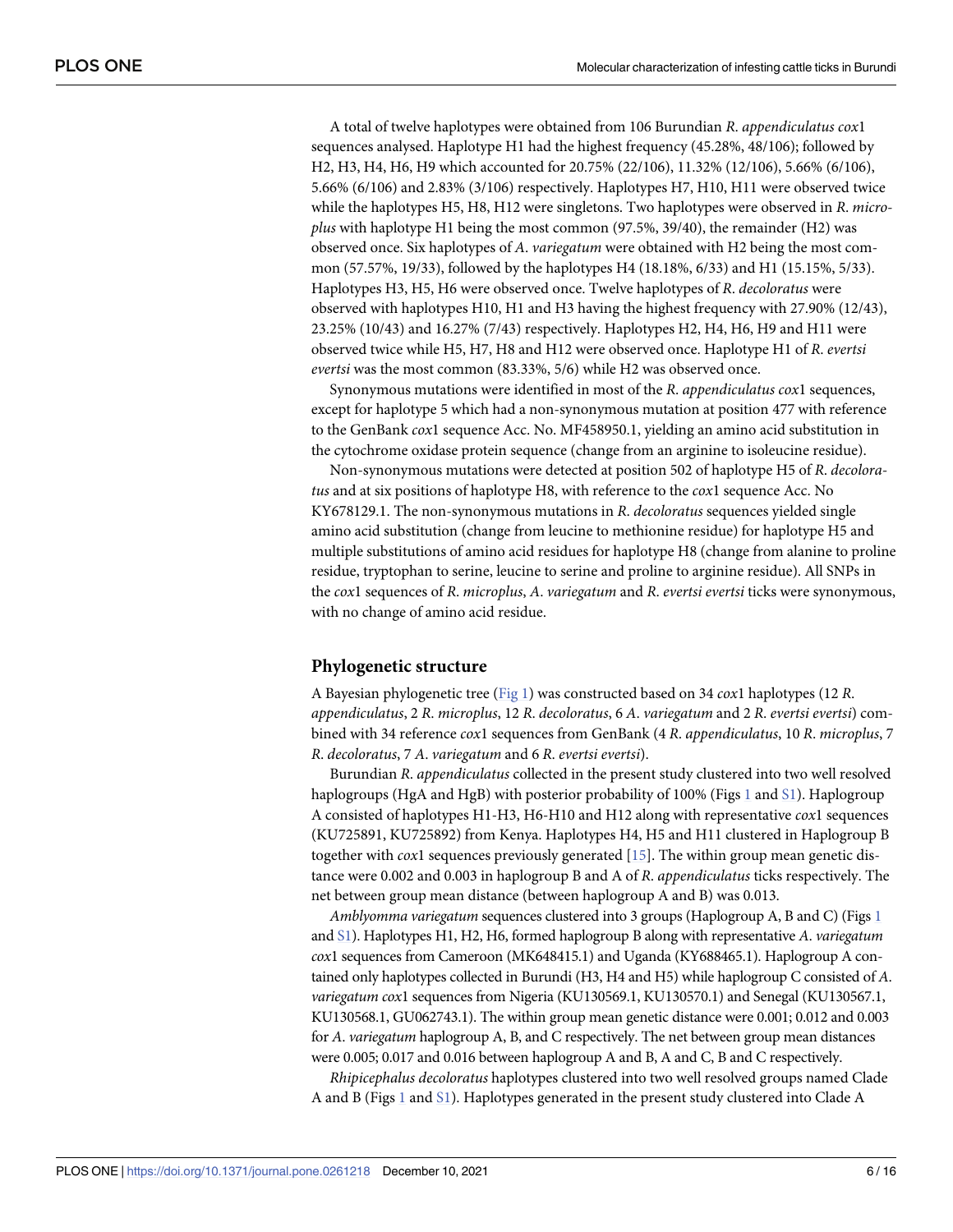<span id="page-5-0"></span>A total of twelve haplotypes were obtained from 106 Burundian *R*. *appendiculatus cox*1 sequences analysed. Haplotype H1 had the highest frequency (45.28%, 48/106); followed by H2, H3, H4, H6, H9 which accounted for 20.75% (22/106), 11.32% (12/106), 5.66% (6/106), 5.66% (6/106) and 2.83% (3/106) respectively. Haplotypes H7, H10, H11 were observed twice while the haplotypes H5, H8, H12 were singletons. Two haplotypes were observed in *R*. *microplus* with haplotype H1 being the most common (97.5%, 39/40), the remainder (H2) was observed once. Six haplotypes of *A*. *variegatum* were obtained with H2 being the most common (57.57%, 19/33), followed by the haplotypes H4 (18.18%, 6/33) and H1 (15.15%, 5/33). Haplotypes H3, H5, H6 were observed once. Twelve haplotypes of *R*. *decoloratus* were observed with haplotypes H10, H1 and H3 having the highest frequency with 27.90% (12/43), 23.25% (10/43) and 16.27% (7/43) respectively. Haplotypes H2, H4, H6, H9 and H11 were observed twice while H5, H7, H8 and H12 were observed once. Haplotype H1 of *R*. *evertsi evertsi* was the most common (83.33%, 5/6) while H2 was observed once.

Synonymous mutations were identified in most of the *R*. *appendiculatus cox*1 sequences, except for haplotype 5 which had a non-synonymous mutation at position 477 with reference to the GenBank *cox*1 sequence Acc. No. MF458950.1, yielding an amino acid substitution in the cytochrome oxidase protein sequence (change from an arginine to isoleucine residue).

Non-synonymous mutations were detected at position 502 of haplotype H5 of *R*. *decoloratus* and at six positions of haplotype H8, with reference to the *cox*1 sequence Acc. No KY678129.1. The non-synonymous mutations in *R*. *decoloratus* sequences yielded single amino acid substitution (change from leucine to methionine residue) for haplotype H5 and multiple substitutions of amino acid residues for haplotype H8 (change from alanine to proline residue, tryptophan to serine, leucine to serine and proline to arginine residue). All SNPs in the *cox*1 sequences of *R*. *microplus*, *A*. *variegatum* and *R*. *evertsi evertsi* ticks were synonymous, with no change of amino acid residue.

## **Phylogenetic structure**

A Bayesian phylogenetic tree [\(Fig](#page-6-0) 1) was constructed based on 34 *cox*1 haplotypes (12 *R*. *appendiculatus*, 2 *R*. *microplus*, 12 *R*. *decoloratus*, 6 *A*. *variegatum* and 2 *R*. *evertsi evertsi*) combined with 34 reference *cox*1 sequences from GenBank (4 *R*. *appendiculatus*, 10 *R*. *microplus*, 7 *R*. *decoloratus*, 7 *A*. *variegatum* and 6 *R*. *evertsi evertsi*).

Burundian *R*. *appendiculatus* collected in the present study clustered into two well resolved haplogroups (HgA and HgB) with posterior probability of [1](#page-6-0)00% (Figs 1 and [S1\)](#page-12-0). Haplogroup A consisted of haplotypes H1-H3, H6-H10 and H12 along with representative *cox*1 sequences (KU725891, KU725892) from Kenya. Haplotypes H4, H5 and H11 clustered in Haplogroup B together with *cox*1 sequences previously generated [[15](#page-13-0)]. The within group mean genetic distance were 0.002 and 0.003 in haplogroup B and A of *R*. *appendiculatus* ticks respectively. The net between group mean distance (between haplogroup A and B) was 0.013.

*Amblyomma variegatum* sequences clustered into 3 groups (Haplogroup A, B and C) (Figs [1](#page-6-0) and [S1](#page-12-0)). Haplotypes H1, H2, H6, formed haplogroup B along with representative *A*. *variegatum cox*1 sequences from Cameroon (MK648415.1) and Uganda (KY688465.1). Haplogroup A contained only haplotypes collected in Burundi (H3, H4 and H5) while haplogroup C consisted of *A*. *variegatum cox*1 sequences from Nigeria (KU130569.1, KU130570.1) and Senegal (KU130567.1, KU130568.1, GU062743.1). The within group mean genetic distance were 0.001; 0.012 and 0.003 for *A*. *variegatum* haplogroup A, B, and C respectively. The net between group mean distances were 0.005; 0.017 and 0.016 between haplogroup A and B, A and C, B and C respectively.

*Rhipicephalus decoloratus* haplotypes clustered into two well resolved groups named Clade A and B (Figs [1](#page-6-0) and [S1\)](#page-12-0). Haplotypes generated in the present study clustered into Clade A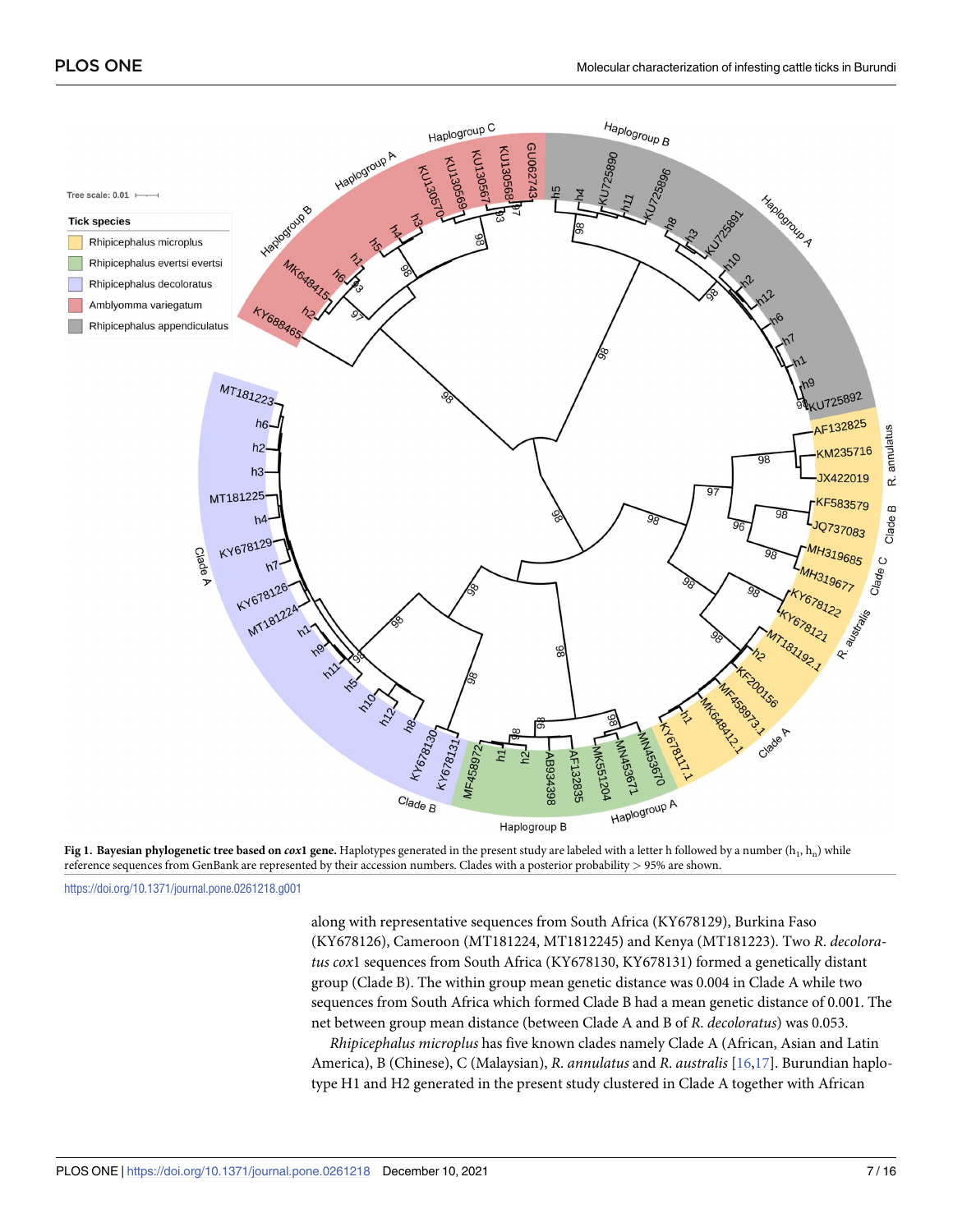<span id="page-6-0"></span>



<https://doi.org/10.1371/journal.pone.0261218.g001>

along with representative sequences from South Africa (KY678129), Burkina Faso (KY678126), Cameroon (MT181224, MT1812245) and Kenya (MT181223). Two *R*. *decoloratus cox*1 sequences from South Africa (KY678130, KY678131) formed a genetically distant group (Clade B). The within group mean genetic distance was 0.004 in Clade A while two sequences from South Africa which formed Clade B had a mean genetic distance of 0.001. The net between group mean distance (between Clade A and B of *R*. *decoloratus*) was 0.053.

*Rhipicephalus microplus* has five known clades namely Clade A (African, Asian and Latin America), B (Chinese), C (Malaysian), *R*. *annulatus* and *R*. *australis* [\[16,17\]](#page-13-0). Burundian haplotype H1 and H2 generated in the present study clustered in Clade A together with African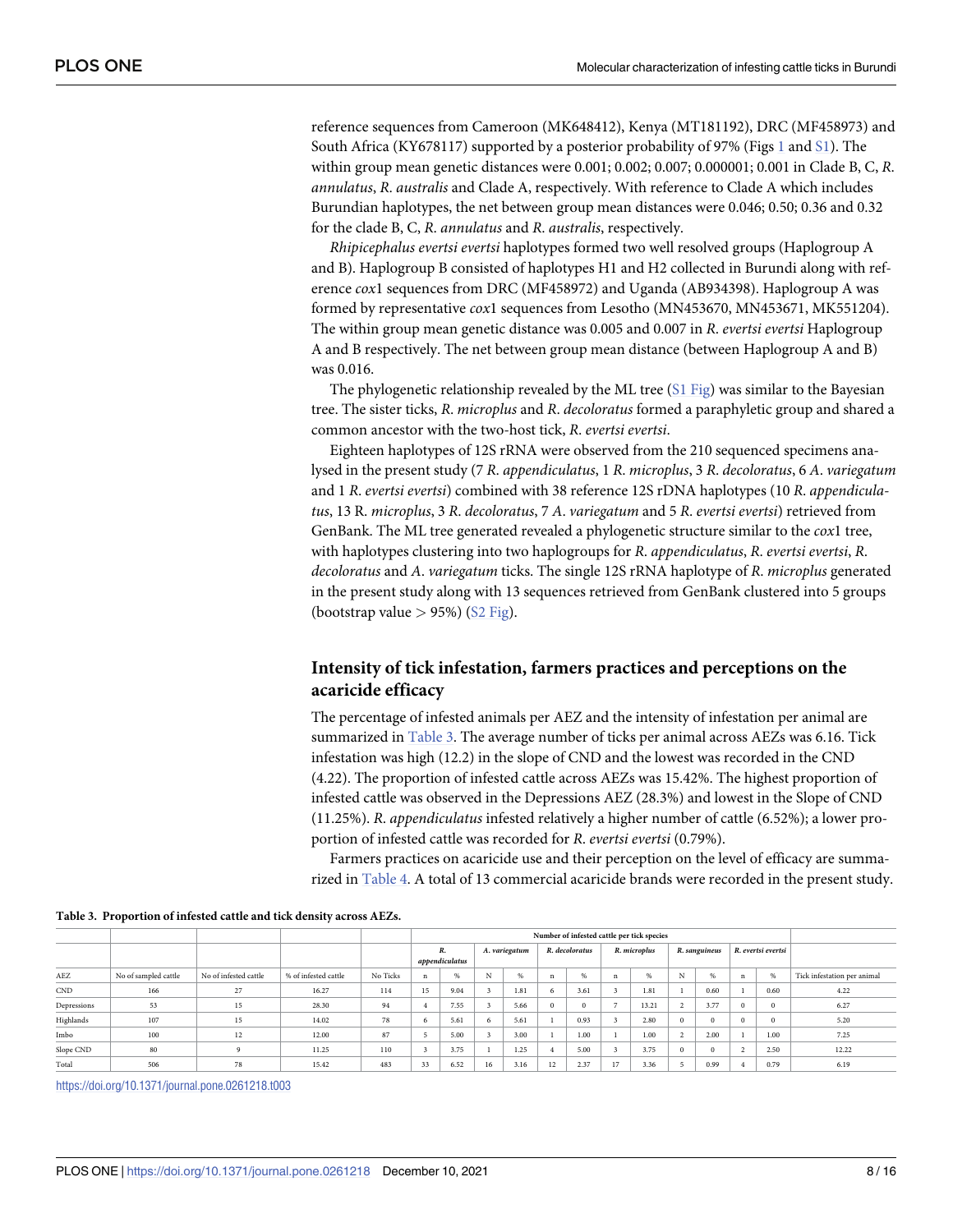<span id="page-7-0"></span>reference sequences from Cameroon (MK648412), Kenya (MT181192), DRC (MF458973) and South Africa (KY678117) supported by a posterior probability of 97% (Figs [1](#page-6-0) and [S1\)](#page-12-0). The within group mean genetic distances were 0.001; 0.002; 0.007; 0.000001; 0.001 in Clade B, C, *R*. *annulatus*, *R*. *australis* and Clade A, respectively. With reference to Clade A which includes Burundian haplotypes, the net between group mean distances were 0.046; 0.50; 0.36 and 0.32 for the clade B, C, *R*. *annulatus* and *R*. *australis*, respectively.

*Rhipicephalus evertsi evertsi* haplotypes formed two well resolved groups (Haplogroup A and B). Haplogroup B consisted of haplotypes H1 and H2 collected in Burundi along with reference *cox*1 sequences from DRC (MF458972) and Uganda (AB934398). Haplogroup A was formed by representative *cox*1 sequences from Lesotho (MN453670, MN453671, MK551204). The within group mean genetic distance was 0.005 and 0.007 in *R*. *evertsi evertsi* Haplogroup A and B respectively. The net between group mean distance (between Haplogroup A and B) was 0.016.

The phylogenetic relationship revealed by the ML tree (S1 [Fig](#page-12-0)) was similar to the Bayesian tree. The sister ticks, *R*. *microplus* and *R*. *decoloratus* formed a paraphyletic group and shared a common ancestor with the two-host tick, *R*. *evertsi evertsi*.

Eighteen haplotypes of 12S rRNA were observed from the 210 sequenced specimens analysed in the present study (7 *R*. *appendiculatus*, 1 *R*. *microplus*, 3 *R*. *decoloratus*, 6 *A*. *variegatum* and 1 *R*. *evertsi evertsi*) combined with 38 reference 12S rDNA haplotypes (10 *R*. *appendiculatus*, 13 R. *microplus*, 3 *R*. *decoloratus*, 7 *A*. *variegatum* and 5 *R*. *evertsi evertsi*) retrieved from GenBank. The ML tree generated revealed a phylogenetic structure similar to the *cox*1 tree, with haplotypes clustering into two haplogroups for *R*. *appendiculatus*, *R*. *evertsi evertsi*, *R*. *decoloratus* and *A*. *variegatum* ticks. The single 12S rRNA haplotype of *R*. *microplus* generated in the present study along with 13 sequences retrieved from GenBank clustered into 5 groups (bootstrap value *>* 95%) (S2 [Fig\)](#page-12-0).

## **Intensity of tick infestation, farmers practices and perceptions on the acaricide efficacy**

The percentage of infested animals per AEZ and the intensity of infestation per animal are summarized in Table 3. The average number of ticks per animal across AEZs was 6.16. Tick infestation was high (12.2) in the slope of CND and the lowest was recorded in the CND (4.22). The proportion of infested cattle across AEZs was 15.42%. The highest proportion of infested cattle was observed in the Depressions AEZ (28.3%) and lowest in the Slope of CND (11.25%). *R*. *appendiculatus* infested relatively a higher number of cattle (6.52%); a lower proportion of infested cattle was recorded for *R*. *evertsi evertsi* (0.79%).

Farmers practices on acaricide use and their perception on the level of efficacy are summarized in [Table](#page-8-0) 4. A total of 13 commercial acaricide brands were recorded in the present study.

|             |                      |                       |                      |          | R.<br>appendiculatus |      | A. variegatum   |      | R. decoloratus |      | R. microplus |       | R. sanguineus |      | R. evertsi evertsi |      |                             |
|-------------|----------------------|-----------------------|----------------------|----------|----------------------|------|-----------------|------|----------------|------|--------------|-------|---------------|------|--------------------|------|-----------------------------|
| AEZ         | No of sampled cattle | No of infested cattle | % of infested cattle | No Ticks | n                    | %    | <b>NT</b><br>T. | %    |                | %    |              |       |               | %    | $\mathbf n$        | $\%$ | Tick infestation per animal |
| CND         | 166                  | 27                    | 16.27                | 114      | 15                   | 9.04 |                 | 1.81 | 6              | 3.61 |              | 1.81  |               | 0.60 |                    | 0.60 | 4.22                        |
| Depressions | 53                   | 15                    | 28.30                | 94       |                      | 7.55 |                 | 5.66 |                |      |              | 13.21 |               | 3.77 | $\Omega$           |      | 6.27                        |
| Highlands   | 107                  | 15                    | 14.02                | 78       | n                    | 5.61 | 'n              | 5.61 |                | 0.93 |              | 2.80  |               | υ    | $\Omega$           |      | 5.20                        |
| Imbo        | 100                  | 12                    | 12.00                | 87       |                      | 5.00 |                 | 3.00 |                | 1.00 |              | 1.00  |               | 2.00 |                    | 1.00 | 7.25                        |
| Slope CND   | 80                   |                       | 11.25                | 110      |                      | 3.75 |                 | 1.25 |                | 5.00 |              | 3.75  |               |      |                    | 2.50 | 12.22                       |
| Total       | 506                  | 78                    | 15.42                | 483      | 33                   | 6.52 | 16              | 3.16 | 12             | 2.37 | 17           | 3.36  |               | 0.99 |                    | 0.79 | 6.19                        |

**Table 3. Proportion of infested cattle and tick density across AEZs.**

<https://doi.org/10.1371/journal.pone.0261218.t003>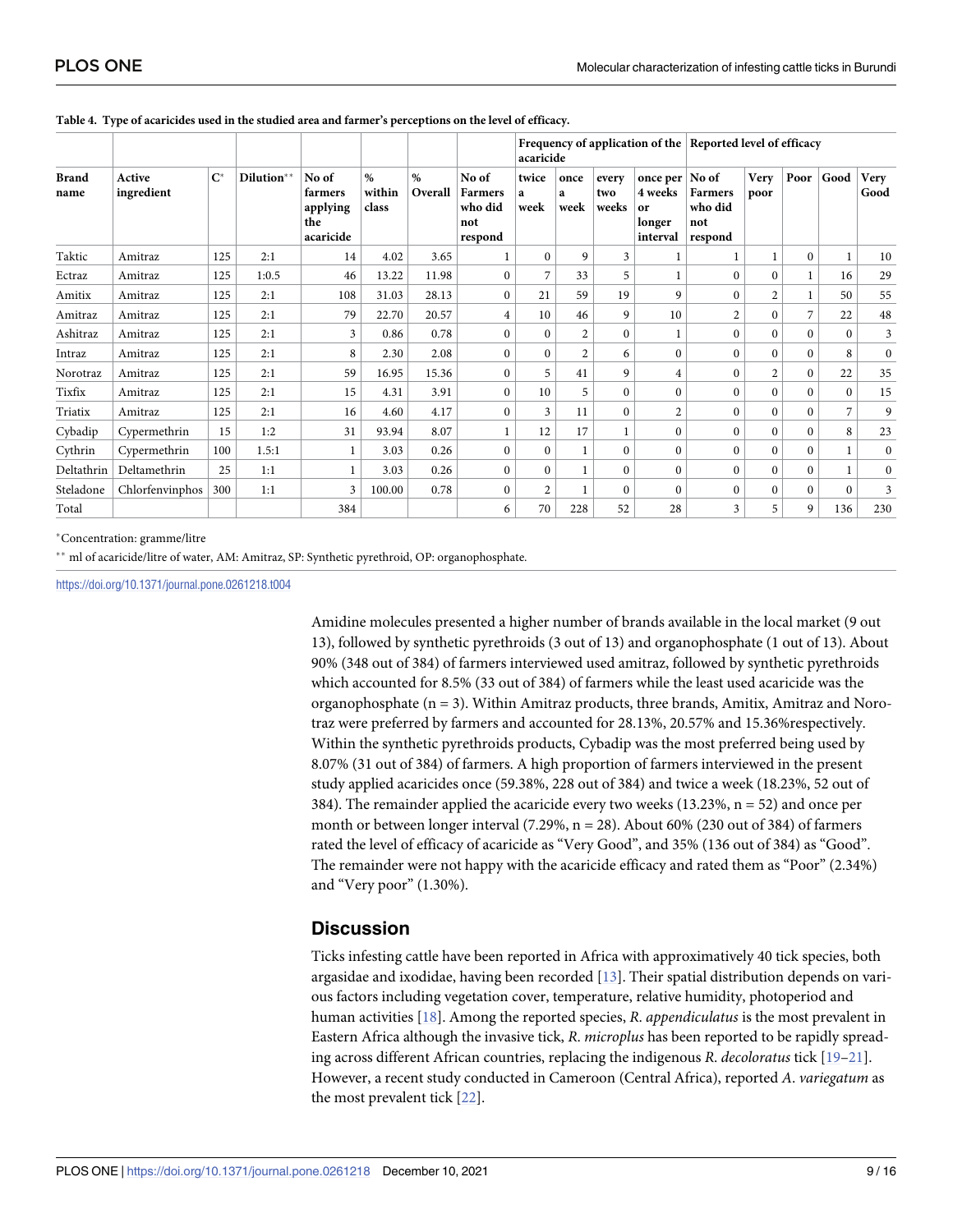|                      |                      |                |            |                                                  |                         |              |                                                      | Frequency of application of the Reported level of efficacy<br>acaricide |                   |                       |                                                     |                                               |                |              |                |                     |  |
|----------------------|----------------------|----------------|------------|--------------------------------------------------|-------------------------|--------------|------------------------------------------------------|-------------------------------------------------------------------------|-------------------|-----------------------|-----------------------------------------------------|-----------------------------------------------|----------------|--------------|----------------|---------------------|--|
| <b>Brand</b><br>name | Active<br>ingredient | $\mathbf{C}^*$ | Dilution** | No of<br>farmers<br>applying<br>the<br>acaricide | $\%$<br>within<br>class | %<br>Overall | No of<br><b>Farmers</b><br>who did<br>not<br>respond | twice<br>a<br>week                                                      | once<br>a<br>week | every<br>two<br>weeks | once per $ $<br>4 weeks<br>or<br>longer<br>interval | No of<br>Farmers<br>who did<br>not<br>respond | Very<br>poor   | Poor         | Good           | <b>Very</b><br>Good |  |
| Taktic               | Amitraz              | 125            | 2:1        | 14                                               | 4.02                    | 3.65         |                                                      | $\mathbf{0}$                                                            | 9                 | 3                     |                                                     | 1                                             |                | $\mathbf{0}$ | $\mathbf{1}$   | 10                  |  |
| Ectraz               | Amitraz              | 125            | 1:0.5      | 46                                               | 13.22                   | 11.98        | $\mathbf{0}$                                         | 7                                                                       | 33                | 5                     |                                                     | $\mathbf{0}$                                  | $\mathbf{0}$   |              | 16             | 29                  |  |
| Amitix               | Amitraz              | 125            | 2:1        | 108                                              | 31.03                   | 28.13        | $\boldsymbol{0}$                                     | 21                                                                      | 59                | 19                    | 9                                                   | $\mathbf{0}$                                  | $\overline{c}$ |              | 50             | 55                  |  |
| Amitraz              | Amitraz              | 125            | 2:1        | 79                                               | 22.70                   | 20.57        | $\overline{4}$                                       | 10                                                                      | 46                | 9                     | 10                                                  | $\overline{2}$                                | $\mathbf{0}$   | 7            | 22             | 48                  |  |
| Ashitraz             | Amitraz              | 125            | 2:1        | 3                                                | 0.86                    | 0.78         | $\mathbf{0}$                                         | $\Omega$                                                                | 2                 | $\Omega$              |                                                     | $\mathbf{0}$                                  | $\mathbf{0}$   | $\Omega$     | $\Omega$       | $\mathfrak{Z}$      |  |
| Intraz               | Amitraz              | 125            | 2:1        | 8                                                | 2.30                    | 2.08         | $\Omega$                                             | $\Omega$                                                                | 2                 | 6                     | $\theta$                                            | $\theta$                                      | $\Omega$       | $\Omega$     | 8              | $\mathbf{0}$        |  |
| Norotraz             | Amitraz              | 125            | 2:1        | 59                                               | 16.95                   | 15.36        | $\mathbf{0}$                                         | 5                                                                       | 41                | 9                     | 4                                                   | $\mathbf{0}$                                  | $\overline{2}$ | $\Omega$     | 22             | 35                  |  |
| Tixfix               | Amitraz              | 125            | 2:1        | 15                                               | 4.31                    | 3.91         | $\mathbf{0}$                                         | 10                                                                      | 5                 | $\Omega$              | $\mathbf{0}$                                        | $\mathbf{0}$                                  | $\mathbf{0}$   | $\Omega$     | $\mathbf{0}$   | 15                  |  |
| Triatix              | Amitraz              | 125            | 2:1        | 16                                               | 4.60                    | 4.17         | $\mathbf{0}$                                         | 3                                                                       | 11                | $\Omega$              | $\overline{2}$                                      | $\mathbf{0}$                                  | $\Omega$       | $\Omega$     | $\overline{7}$ | 9                   |  |
| Cybadip              | Cypermethrin         | 15             | 1:2        | 31                                               | 93.94                   | 8.07         |                                                      | 12                                                                      | 17                |                       | $\mathbf{0}$                                        | $\mathbf{0}$                                  | $\mathbf{0}$   | $\Omega$     | 8              | 23                  |  |
| Cythrin              | Cypermethrin         | 100            | 1.5:1      | $\mathbf{1}$                                     | 3.03                    | 0.26         | $\mathbf{0}$                                         | $\mathbf{0}$                                                            |                   | $\Omega$              | $\Omega$                                            | $\mathbf{0}$                                  | $\mathbf{0}$   | $\Omega$     | $\mathbf{1}$   | $\mathbf{0}$        |  |
| Deltathrin           | Deltamethrin         | 25             | 1:1        | $\mathbf{1}$                                     | 3.03                    | 0.26         | $\Omega$                                             | $\Omega$                                                                |                   | $\Omega$              | $\Omega$                                            | $\Omega$                                      | $\Omega$       | $\Omega$     | $\mathbf{1}$   | $\mathbf{0}$        |  |
| Steladone            | Chlorfenvinphos      | 300            | 1:1        | 3                                                | 100.00                  | 0.78         | $\mathbf{0}$                                         | $\overline{2}$                                                          |                   | $\Omega$              | $\Omega$                                            | $\mathbf{0}$                                  | $\mathbf{0}$   | $\Omega$     | $\mathbf{0}$   | $\mathfrak{Z}$      |  |
| Total                |                      |                |            | 384                                              |                         |              | 6                                                    | 70                                                                      | 228               | 52                    | 28                                                  | 3                                             | 5              | 9            | 136            | 230                 |  |

<span id="page-8-0"></span>[Table](#page-7-0) 4. Type of acaricides used in the studied area and farmer's perceptions on the level of efficacy.

�Concentration: gramme/litre

\*\* ml of acaricide/litre of water, AM: Amitraz, SP: Synthetic pyrethroid, OP: organophosphate.

<https://doi.org/10.1371/journal.pone.0261218.t004>

Amidine molecules presented a higher number of brands available in the local market (9 out 13), followed by synthetic pyrethroids (3 out of 13) and organophosphate (1 out of 13). About 90% (348 out of 384) of farmers interviewed used amitraz, followed by synthetic pyrethroids which accounted for 8.5% (33 out of 384) of farmers while the least used acaricide was the organophosphate  $(n = 3)$ . Within Amitraz products, three brands, Amitix, Amitraz and Norotraz were preferred by farmers and accounted for 28.13%, 20.57% and 15.36%respectively. Within the synthetic pyrethroids products, Cybadip was the most preferred being used by 8.07% (31 out of 384) of farmers. A high proportion of farmers interviewed in the present study applied acaricides once (59.38%, 228 out of 384) and twice a week (18.23%, 52 out of 384). The remainder applied the acaricide every two weeks  $(13.23\%, n = 52)$  and once per month or between longer interval  $(7.29\%, n = 28)$ . About 60% (230 out of 384) of farmers rated the level of efficacy of acaricide as "Very Good", and 35% (136 out of 384) as "Good". The remainder were not happy with the acaricide efficacy and rated them as "Poor" (2.34%) and "Very poor" (1.30%).

## **Discussion**

Ticks infesting cattle have been reported in Africa with approximatively 40 tick species, both argasidae and ixodidae, having been recorded [\[13\]](#page-13-0). Their spatial distribution depends on various factors including vegetation cover, temperature, relative humidity, photoperiod and human activities [\[18\]](#page-13-0). Among the reported species, *R*. *appendiculatus* is the most prevalent in Eastern Africa although the invasive tick, *R*. *microplus* has been reported to be rapidly spreading across different African countries, replacing the indigenous *R*. *decoloratus* tick [[19–21\]](#page-13-0). However, a recent study conducted in Cameroon (Central Africa), reported *A*. *variegatum* as the most prevalent tick [[22](#page-14-0)].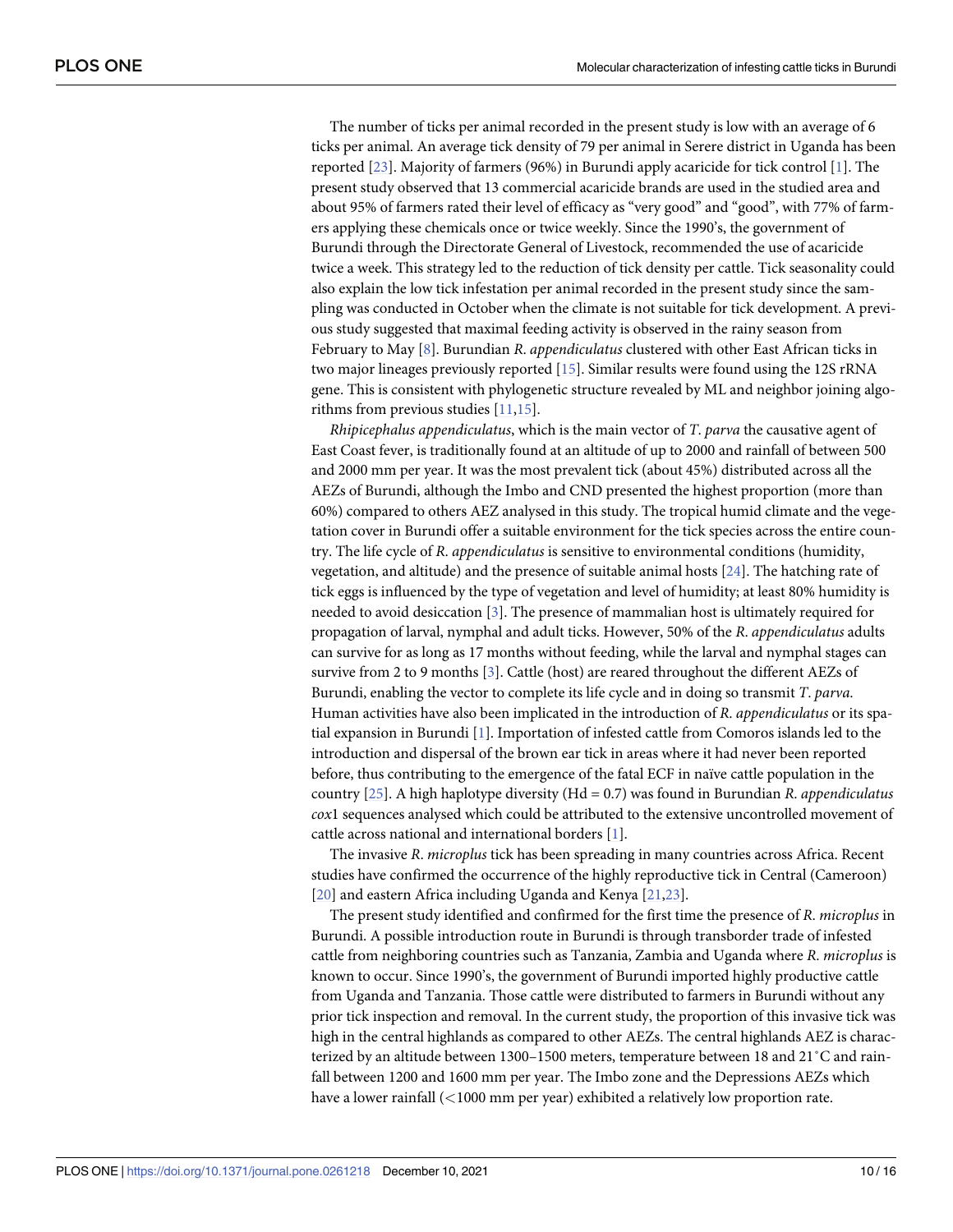<span id="page-9-0"></span>The number of ticks per animal recorded in the present study is low with an average of 6 ticks per animal. An average tick density of 79 per animal in Serere district in Uganda has been reported [\[23\]](#page-14-0). Majority of farmers (96%) in Burundi apply acaricide for tick control [[1\]](#page-12-0). The present study observed that 13 commercial acaricide brands are used in the studied area and about 95% of farmers rated their level of efficacy as "very good" and "good", with 77% of farmers applying these chemicals once or twice weekly. Since the 1990's, the government of Burundi through the Directorate General of Livestock, recommended the use of acaricide twice a week. This strategy led to the reduction of tick density per cattle. Tick seasonality could also explain the low tick infestation per animal recorded in the present study since the sampling was conducted in October when the climate is not suitable for tick development. A previous study suggested that maximal feeding activity is observed in the rainy season from February to May [\[8\]](#page-13-0). Burundian *R*. *appendiculatus* clustered with other East African ticks in two major lineages previously reported [[15](#page-13-0)]. Similar results were found using the 12S rRNA gene. This is consistent with phylogenetic structure revealed by ML and neighbor joining algorithms from previous studies [\[11,15\]](#page-13-0).

*Rhipicephalus appendiculatus*, which is the main vector of *T*. *parva* the causative agent of East Coast fever, is traditionally found at an altitude of up to 2000 and rainfall of between 500 and 2000 mm per year. It was the most prevalent tick (about 45%) distributed across all the AEZs of Burundi, although the Imbo and CND presented the highest proportion (more than 60%) compared to others AEZ analysed in this study. The tropical humid climate and the vegetation cover in Burundi offer a suitable environment for the tick species across the entire country. The life cycle of *R*. *appendiculatus* is sensitive to environmental conditions (humidity, vegetation, and altitude) and the presence of suitable animal hosts [[24](#page-14-0)]. The hatching rate of tick eggs is influenced by the type of vegetation and level of humidity; at least 80% humidity is needed to avoid desiccation [[3](#page-13-0)]. The presence of mammalian host is ultimately required for propagation of larval, nymphal and adult ticks. However, 50% of the *R*. *appendiculatus* adults can survive for as long as 17 months without feeding, while the larval and nymphal stages can survive from 2 to 9 months [\[3\]](#page-13-0). Cattle (host) are reared throughout the different AEZs of Burundi, enabling the vector to complete its life cycle and in doing so transmit *T*. *parva*. Human activities have also been implicated in the introduction of *R*. *appendiculatus* or its spatial expansion in Burundi [\[1\]](#page-12-0). Importation of infested cattle from Comoros islands led to the introduction and dispersal of the brown ear tick in areas where it had never been reported before, thus contributing to the emergence of the fatal ECF in naïve cattle population in the country [[25](#page-14-0)]. A high haplotype diversity (Hd = 0.7) was found in Burundian *R*. *appendiculatus cox*1 sequences analysed which could be attributed to the extensive uncontrolled movement of cattle across national and international borders [\[1\]](#page-12-0).

The invasive *R*. *microplus* tick has been spreading in many countries across Africa. Recent studies have confirmed the occurrence of the highly reproductive tick in Central (Cameroon) [\[20\]](#page-13-0) and eastern Africa including Uganda and Kenya [[21](#page-13-0),[23](#page-14-0)].

The present study identified and confirmed for the first time the presence of *R*. *microplus* in Burundi. A possible introduction route in Burundi is through transborder trade of infested cattle from neighboring countries such as Tanzania, Zambia and Uganda where *R*. *microplus* is known to occur. Since 1990's, the government of Burundi imported highly productive cattle from Uganda and Tanzania. Those cattle were distributed to farmers in Burundi without any prior tick inspection and removal. In the current study, the proportion of this invasive tick was high in the central highlands as compared to other AEZs. The central highlands AEZ is characterized by an altitude between 1300–1500 meters, temperature between 18 and 21˚C and rainfall between 1200 and 1600 mm per year. The Imbo zone and the Depressions AEZs which have a lower rainfall (*<*1000 mm per year) exhibited a relatively low proportion rate.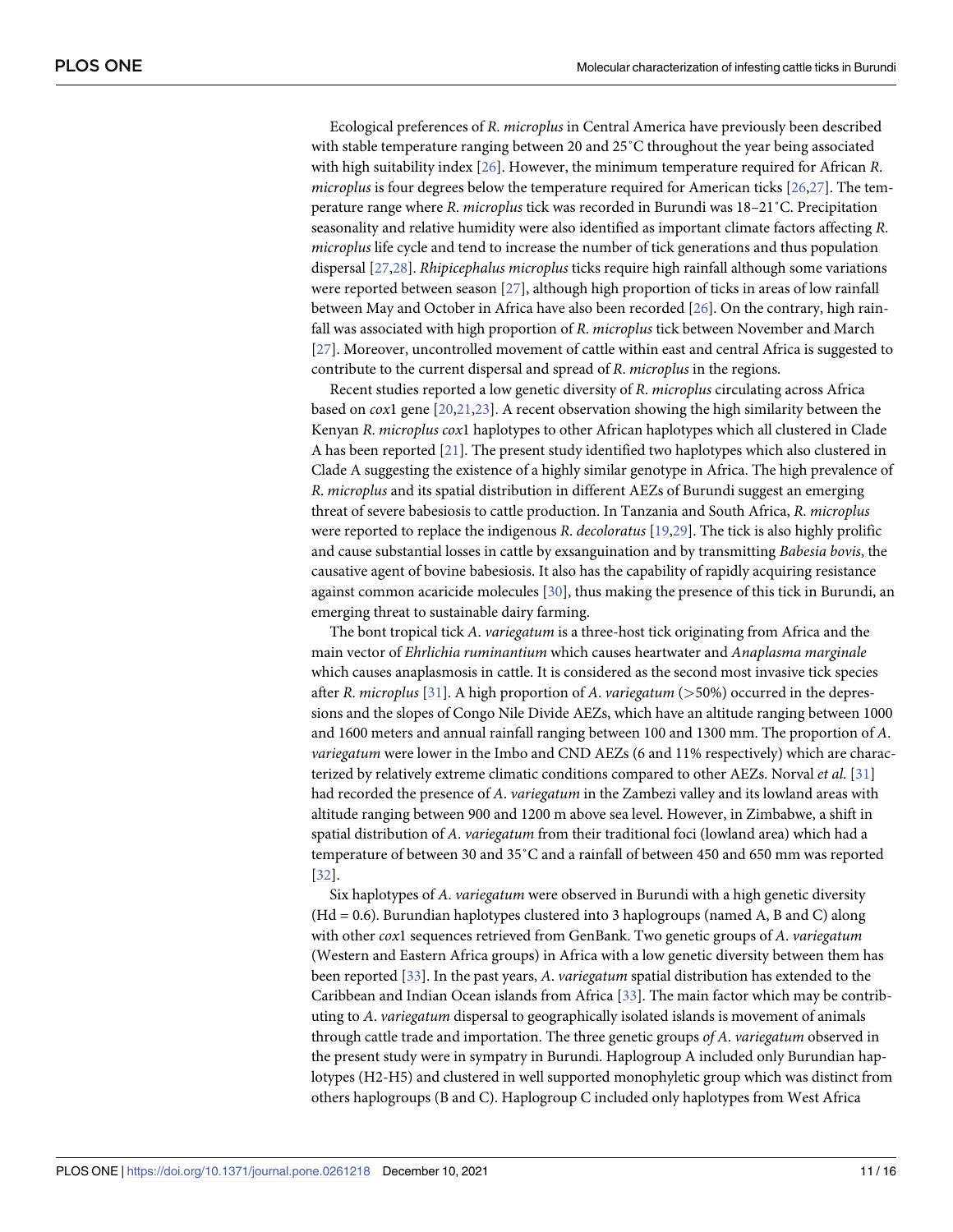<span id="page-10-0"></span>Ecological preferences of *R*. *microplus* in Central America have previously been described with stable temperature ranging between 20 and 25˚C throughout the year being associated with high suitability index [\[26\]](#page-14-0). However, the minimum temperature required for African *R*. *microplus* is four degrees below the temperature required for American ticks [[26,27\]](#page-14-0). The temperature range where *R*. *microplus* tick was recorded in Burundi was 18–21˚C. Precipitation seasonality and relative humidity were also identified as important climate factors affecting *R*. *microplus* life cycle and tend to increase the number of tick generations and thus population dispersal [[27,28\]](#page-14-0). *Rhipicephalus microplus* ticks require high rainfall although some variations were reported between season [\[27\]](#page-14-0), although high proportion of ticks in areas of low rainfall between May and October in Africa have also been recorded [[26](#page-14-0)]. On the contrary, high rainfall was associated with high proportion of *R*. *microplus* tick between November and March [\[27\]](#page-14-0). Moreover, uncontrolled movement of cattle within east and central Africa is suggested to contribute to the current dispersal and spread of *R*. *microplus* in the regions.

Recent studies reported a low genetic diversity of *R*. *microplus* circulating across Africa based on *cox*1 gene [[20](#page-13-0),[21](#page-13-0)[,23\]](#page-14-0). A recent observation showing the high similarity between the Kenyan *R*. *microplus cox*1 haplotypes to other African haplotypes which all clustered in Clade A has been reported [[21](#page-13-0)]. The present study identified two haplotypes which also clustered in Clade A suggesting the existence of a highly similar genotype in Africa. The high prevalence of *R*. *microplus* and its spatial distribution in different AEZs of Burundi suggest an emerging threat of severe babesiosis to cattle production. In Tanzania and South Africa, *R*. *microplus* were reported to replace the indigenous *R*. *decoloratus* [[19](#page-13-0)[,29\]](#page-14-0). The tick is also highly prolific and cause substantial losses in cattle by exsanguination and by transmitting *Babesia bovis*, the causative agent of bovine babesiosis. It also has the capability of rapidly acquiring resistance against common acaricide molecules [\[30\]](#page-14-0), thus making the presence of this tick in Burundi, an emerging threat to sustainable dairy farming.

The bont tropical tick *A*. *variegatum* is a three-host tick originating from Africa and the main vector of *Ehrlichia ruminantium* which causes heartwater and *Anaplasma marginale* which causes anaplasmosis in cattle. It is considered as the second most invasive tick species after *R*. *microplus* [[31](#page-14-0)]. A high proportion of *A*. *variegatum* (*>*50%) occurred in the depressions and the slopes of Congo Nile Divide AEZs, which have an altitude ranging between 1000 and 1600 meters and annual rainfall ranging between 100 and 1300 mm. The proportion of *A*. *variegatum* were lower in the Imbo and CND AEZs (6 and 11% respectively) which are characterized by relatively extreme climatic conditions compared to other AEZs. Norval *et al*. [[31](#page-14-0)] had recorded the presence of *A*. *variegatum* in the Zambezi valley and its lowland areas with altitude ranging between 900 and 1200 m above sea level. However, in Zimbabwe, a shift in spatial distribution of *A*. *variegatum* from their traditional foci (lowland area) which had a temperature of between 30 and 35˚C and a rainfall of between 450 and 650 mm was reported [\[32\]](#page-14-0).

Six haplotypes of *A*. *variegatum* were observed in Burundi with a high genetic diversity  $(Hd = 0.6)$ . Burundian haplotypes clustered into 3 haplogroups (named A, B and C) along with other *cox*1 sequences retrieved from GenBank. Two genetic groups of *A*. *variegatum* (Western and Eastern Africa groups) in Africa with a low genetic diversity between them has been reported [\[33\]](#page-14-0). In the past years, *A*. *variegatum* spatial distribution has extended to the Caribbean and Indian Ocean islands from Africa [[33](#page-14-0)]. The main factor which may be contributing to *A*. *variegatum* dispersal to geographically isolated islands is movement of animals through cattle trade and importation. The three genetic groups *of A*. *variegatum* observed in the present study were in sympatry in Burundi. Haplogroup A included only Burundian haplotypes (H2-H5) and clustered in well supported monophyletic group which was distinct from others haplogroups (B and C). Haplogroup C included only haplotypes from West Africa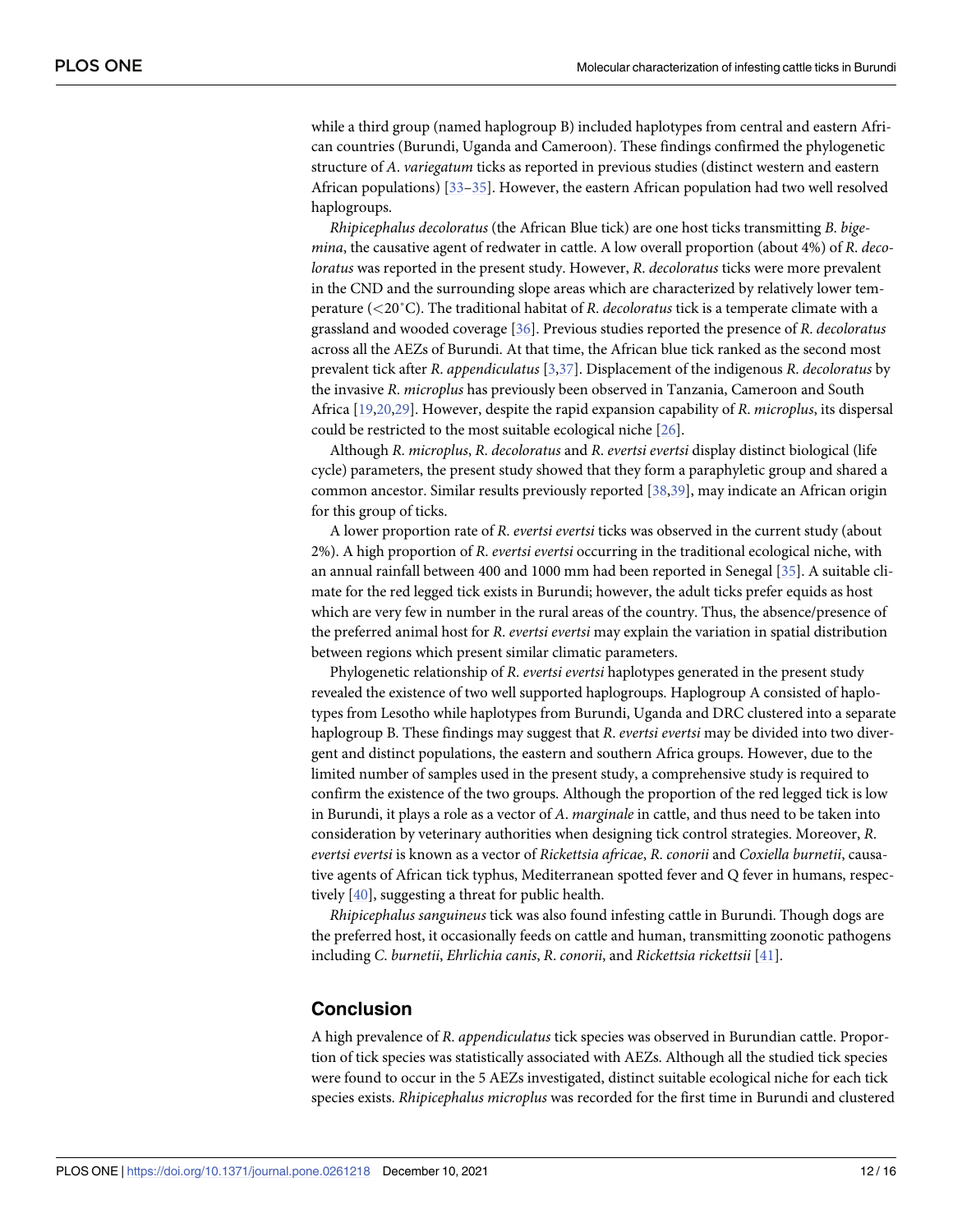<span id="page-11-0"></span>while a third group (named haplogroup B) included haplotypes from central and eastern African countries (Burundi, Uganda and Cameroon). These findings confirmed the phylogenetic structure of *A*. *variegatum* ticks as reported in previous studies (distinct western and eastern African populations) [[33–35\]](#page-14-0). However, the eastern African population had two well resolved haplogroups.

*Rhipicephalus decoloratus* (the African Blue tick) are one host ticks transmitting *B*. *bigemina*, the causative agent of redwater in cattle. A low overall proportion (about 4%) of *R*. *decoloratus* was reported in the present study. However, *R*. *decoloratus* ticks were more prevalent in the CND and the surrounding slope areas which are characterized by relatively lower temperature (*<*20˚C). The traditional habitat of *R*. *decoloratus* tick is a temperate climate with a grassland and wooded coverage [[36](#page-14-0)]. Previous studies reported the presence of *R*. *decoloratus* across all the AEZs of Burundi. At that time, the African blue tick ranked as the second most prevalent tick after *R*. *appendiculatus* [\[3](#page-13-0)[,37\]](#page-14-0). Displacement of the indigenous *R*. *decoloratus* by the invasive *R*. *microplus* has previously been observed in Tanzania, Cameroon and South Africa [\[19,20,](#page-13-0)[29](#page-14-0)]. However, despite the rapid expansion capability of *R*. *microplus*, its dispersal could be restricted to the most suitable ecological niche [[26](#page-14-0)].

Although *R*. *microplus*, *R*. *decoloratus* and *R*. *evertsi evertsi* display distinct biological (life cycle) parameters, the present study showed that they form a paraphyletic group and shared a common ancestor. Similar results previously reported [\[38,39](#page-14-0)], may indicate an African origin for this group of ticks.

A lower proportion rate of *R*. *evertsi evertsi* ticks was observed in the current study (about 2%). A high proportion of *R*. *evertsi evertsi* occurring in the traditional ecological niche, with an annual rainfall between 400 and 1000 mm had been reported in Senegal [\[35\]](#page-14-0). A suitable climate for the red legged tick exists in Burundi; however, the adult ticks prefer equids as host which are very few in number in the rural areas of the country. Thus, the absence/presence of the preferred animal host for *R*. *evertsi evertsi* may explain the variation in spatial distribution between regions which present similar climatic parameters.

Phylogenetic relationship of *R*. *evertsi evertsi* haplotypes generated in the present study revealed the existence of two well supported haplogroups. Haplogroup A consisted of haplotypes from Lesotho while haplotypes from Burundi, Uganda and DRC clustered into a separate haplogroup B. These findings may suggest that *R*. *evertsi evertsi* may be divided into two divergent and distinct populations, the eastern and southern Africa groups. However, due to the limited number of samples used in the present study, a comprehensive study is required to confirm the existence of the two groups. Although the proportion of the red legged tick is low in Burundi, it plays a role as a vector of *A*. *marginale* in cattle, and thus need to be taken into consideration by veterinary authorities when designing tick control strategies. Moreover, *R*. *evertsi evertsi* is known as a vector of *Rickettsia africae*, *R*. *conorii* and *Coxiella burnetii*, causative agents of African tick typhus, Mediterranean spotted fever and Q fever in humans, respectively [\[40\]](#page-14-0), suggesting a threat for public health.

*Rhipicephalus sanguineus* tick was also found infesting cattle in Burundi. Though dogs are the preferred host, it occasionally feeds on cattle and human, transmitting zoonotic pathogens including *C*. *burnetii*, *Ehrlichia canis*, *R*. *conorii*, and *Rickettsia rickettsii* [\[41\]](#page-15-0).

## **Conclusion**

A high prevalence of *R*. *appendiculatus* tick species was observed in Burundian cattle. Proportion of tick species was statistically associated with AEZs. Although all the studied tick species were found to occur in the 5 AEZs investigated, distinct suitable ecological niche for each tick species exists. *Rhipicephalus microplus* was recorded for the first time in Burundi and clustered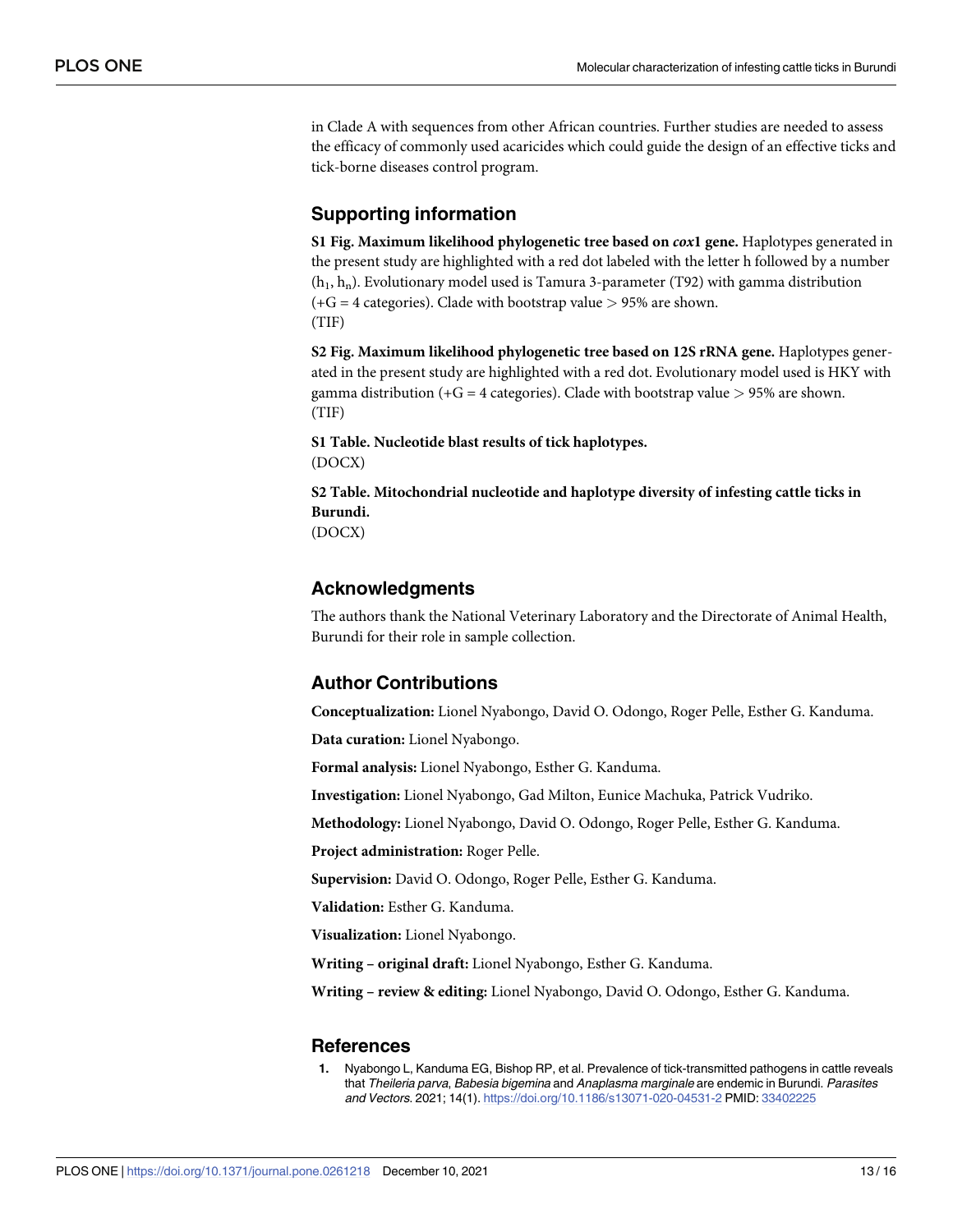<span id="page-12-0"></span>in Clade A with sequences from other African countries. Further studies are needed to assess the efficacy of commonly used acaricides which could guide the design of an effective ticks and tick-borne diseases control program.

## **Supporting information**

**S1 [Fig](http://www.plosone.org/article/fetchSingleRepresentation.action?uri=info:doi/10.1371/journal.pone.0261218.s001). Maximum likelihood phylogenetic tree based on** *cox***1 gene.** Haplotypes generated in the present study are highlighted with a red dot labeled with the letter h followed by a number  $(h_1, h_n)$ . Evolutionary model used is Tamura 3-parameter (T92) with gamma distribution (+G = 4 categories). Clade with bootstrap value *>* 95% are shown. (TIF)

**S2 [Fig](http://www.plosone.org/article/fetchSingleRepresentation.action?uri=info:doi/10.1371/journal.pone.0261218.s002). Maximum likelihood phylogenetic tree based on 12S rRNA gene.** Haplotypes generated in the present study are highlighted with a red dot. Evolutionary model used is HKY with gamma distribution (+G = 4 categories). Clade with bootstrap value *>* 95% are shown. (TIF)

**S1 [Table.](http://www.plosone.org/article/fetchSingleRepresentation.action?uri=info:doi/10.1371/journal.pone.0261218.s003) Nucleotide blast results of tick haplotypes.** (DOCX)

**S2 [Table.](http://www.plosone.org/article/fetchSingleRepresentation.action?uri=info:doi/10.1371/journal.pone.0261218.s004) Mitochondrial nucleotide and haplotype diversity of infesting cattle ticks in Burundi.**

(DOCX)

## **Acknowledgments**

The authors thank the National Veterinary Laboratory and the Directorate of Animal Health, Burundi for their role in sample collection.

## **Author Contributions**

**Conceptualization:** Lionel Nyabongo, David O. Odongo, Roger Pelle, Esther G. Kanduma.

**Data curation:** Lionel Nyabongo.

**Formal analysis:** Lionel Nyabongo, Esther G. Kanduma.

**Investigation:** Lionel Nyabongo, Gad Milton, Eunice Machuka, Patrick Vudriko.

**Methodology:** Lionel Nyabongo, David O. Odongo, Roger Pelle, Esther G. Kanduma.

**Project administration:** Roger Pelle.

**Supervision:** David O. Odongo, Roger Pelle, Esther G. Kanduma.

**Validation:** Esther G. Kanduma.

**Visualization:** Lionel Nyabongo.

**Writing – original draft:** Lionel Nyabongo, Esther G. Kanduma.

**Writing – review & editing:** Lionel Nyabongo, David O. Odongo, Esther G. Kanduma.

## **References**

**[1](#page-1-0).** Nyabongo L, Kanduma EG, Bishop RP, et al. Prevalence of tick-transmitted pathogens in cattle reveals that Theileria parva, Babesia bigemina and Anaplasma marginale are endemic in Burundi. Parasites and Vectors. 2021; 14(1). <https://doi.org/10.1186/s13071-020-04531-2> PMID: [33402225](http://www.ncbi.nlm.nih.gov/pubmed/33402225)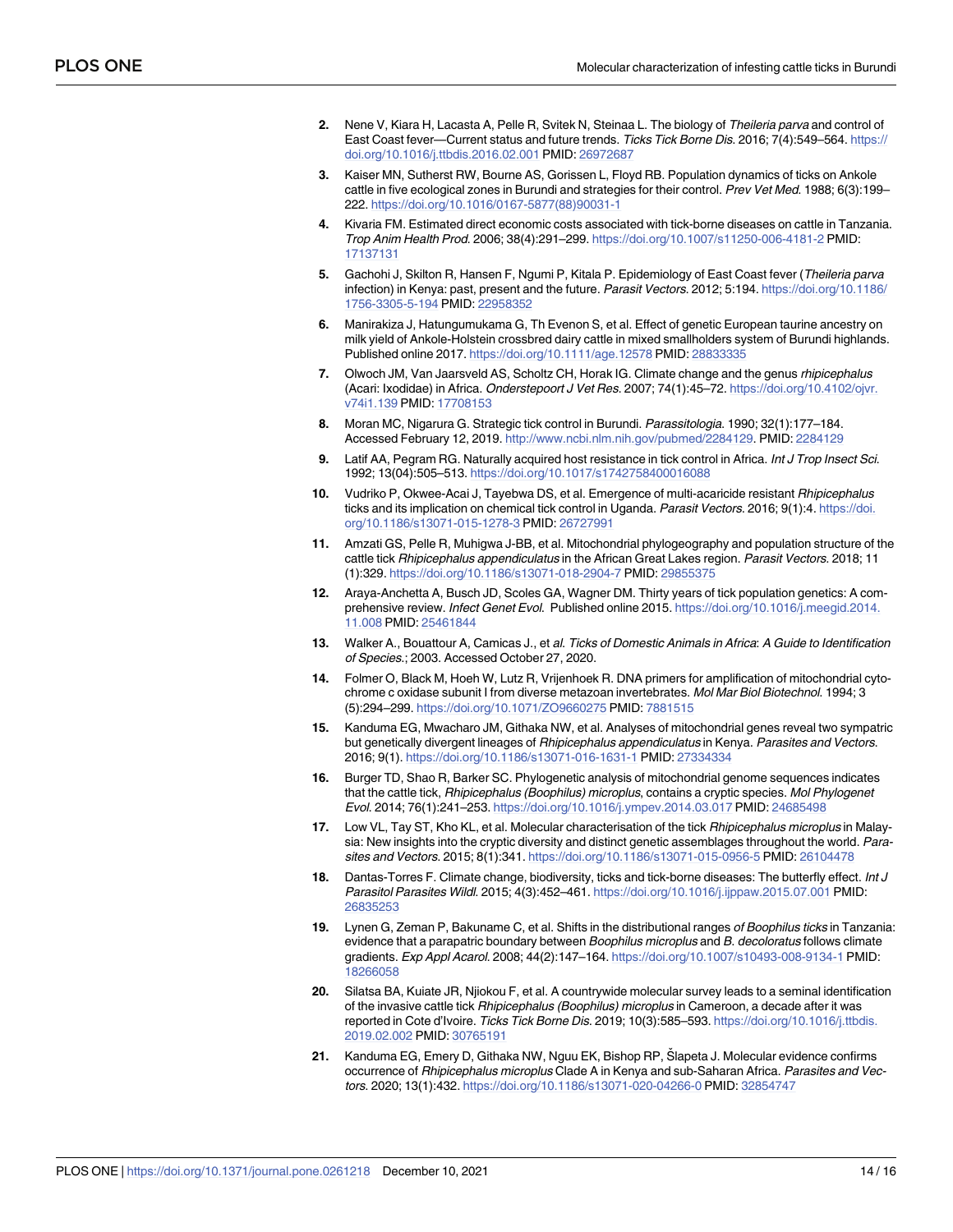- <span id="page-13-0"></span>**[2](#page-1-0).** Nene V, Kiara H, Lacasta A, Pelle R, Svitek N, Steinaa L. The biology of Theileria parva and control of East Coast fever—Current status and future trends. Ticks Tick Borne Dis. 2016; 7(4):549-564. [https://](https://doi.org/10.1016/j.ttbdis.2016.02.001) [doi.org/10.1016/j.ttbdis.2016.02.001](https://doi.org/10.1016/j.ttbdis.2016.02.001) PMID: [26972687](http://www.ncbi.nlm.nih.gov/pubmed/26972687)
- **[3](#page-1-0).** Kaiser MN, Sutherst RW, Bourne AS, Gorissen L, Floyd RB. Population dynamics of ticks on Ankole cattle in five ecological zones in Burundi and strategies for their control. Prev Vet Med. 1988; 6(3):199-222. [https://doi.org/10.1016/0167-5877\(88\)90031-1](https://doi.org/10.1016/0167-5877%2888%2990031-1)
- **[4](#page-1-0).** Kivaria FM. Estimated direct economic costs associated with tick-borne diseases on cattle in Tanzania. Trop Anim Health Prod. 2006; 38(4):291–299. <https://doi.org/10.1007/s11250-006-4181-2> PMID: [17137131](http://www.ncbi.nlm.nih.gov/pubmed/17137131)
- **[5](#page-1-0).** Gachohi J, Skilton R, Hansen F, Ngumi P, Kitala P. Epidemiology of East Coast fever (Theileria parva infection) in Kenya: past, present and the future. Parasit Vectors. 2012; 5:194. [https://doi.org/10.1186/](https://doi.org/10.1186/1756-3305-5-194) [1756-3305-5-194](https://doi.org/10.1186/1756-3305-5-194) PMID: [22958352](http://www.ncbi.nlm.nih.gov/pubmed/22958352)
- **[6](#page-1-0).** Manirakiza J, Hatungumukama G, Th Evenon S, et al. Effect of genetic European taurine ancestry on milk yield of Ankole-Holstein crossbred dairy cattle in mixed smallholders system of Burundi highlands. Published online 2017. <https://doi.org/10.1111/age.12578> PMID: [28833335](http://www.ncbi.nlm.nih.gov/pubmed/28833335)
- **[7](#page-1-0).** Olwoch JM, Van Jaarsveld AS, Scholtz CH, Horak IG. Climate change and the genus rhipicephalus (Acari: Ixodidae) in Africa. Onderstepoort J Vet Res. 2007; 74(1):45–72. [https://doi.org/10.4102/ojvr.](https://doi.org/10.4102/ojvr.v74i1.139) [v74i1.139](https://doi.org/10.4102/ojvr.v74i1.139) PMID: [17708153](http://www.ncbi.nlm.nih.gov/pubmed/17708153)
- **[8](#page-1-0).** Moran MC, Nigarura G. Strategic tick control in Burundi. Parassitologia. 1990; 32(1):177–184. Accessed February 12, 2019. [http://www.ncbi.nlm.nih.gov/pubmed/2284129.](http://www.ncbi.nlm.nih.gov/pubmed/2284129) PMID: [2284129](http://www.ncbi.nlm.nih.gov/pubmed/2284129)
- **[9](#page-1-0).** Latif AA, Pegram RG. Naturally acquired host resistance in tick control in Africa. Int J Trop Insect Sci. 1992; 13(04):505–513. <https://doi.org/10.1017/s1742758400016088>
- **[10](#page-1-0).** Vudriko P, Okwee-Acai J, Tayebwa DS, et al. Emergence of multi-acaricide resistant Rhipicephalus ticks and its implication on chemical tick control in Uganda. Parasit Vectors. 2016; 9(1):4. [https://doi.](https://doi.org/10.1186/s13071-015-1278-3) [org/10.1186/s13071-015-1278-3](https://doi.org/10.1186/s13071-015-1278-3) PMID: [26727991](http://www.ncbi.nlm.nih.gov/pubmed/26727991)
- **[11](#page-2-0).** Amzati GS, Pelle R, Muhigwa J-BB, et al. Mitochondrial phylogeography and population structure of the cattle tick Rhipicephalus appendiculatus in the African Great Lakes region. Parasit Vectors. 2018; 11 (1):329. <https://doi.org/10.1186/s13071-018-2904-7> PMID: [29855375](http://www.ncbi.nlm.nih.gov/pubmed/29855375)
- **[12](#page-2-0).** Araya-Anchetta A, Busch JD, Scoles GA, Wagner DM. Thirty years of tick population genetics: A comprehensive review. Infect Genet Evol. Published online 2015. [https://doi.org/10.1016/j.meegid.2014.](https://doi.org/10.1016/j.meegid.2014.11.008) [11.008](https://doi.org/10.1016/j.meegid.2014.11.008) PMID: [25461844](http://www.ncbi.nlm.nih.gov/pubmed/25461844)
- **[13](#page-2-0).** Walker A., Bouattour A, Camicas J., et al. Ticks of Domestic Animals in Africa: A Guide to Identification of Species.; 2003. Accessed October 27, 2020.
- **[14](#page-2-0).** Folmer O, Black M, Hoeh W, Lutz R, Vrijenhoek R. DNA primers for amplification of mitochondrial cytochrome c oxidase subunit I from diverse metazoan invertebrates. Mol Mar Biol Biotechnol. 1994; 3 (5):294–299. <https://doi.org/10.1071/ZO9660275> PMID: [7881515](http://www.ncbi.nlm.nih.gov/pubmed/7881515)
- **[15](#page-2-0).** Kanduma EG, Mwacharo JM, Githaka NW, et al. Analyses of mitochondrial genes reveal two sympatric but genetically divergent lineages of Rhipicephalus appendiculatus in Kenya. Parasites and Vectors. 2016; 9(1). <https://doi.org/10.1186/s13071-016-1631-1> PMID: [27334334](http://www.ncbi.nlm.nih.gov/pubmed/27334334)
- **[16](#page-6-0).** Burger TD, Shao R, Barker SC. Phylogenetic analysis of mitochondrial genome sequences indicates that the cattle tick, Rhipicephalus (Boophilus) microplus, contains a cryptic species. Mol Phylogenet Evol. 2014; 76(1):241–253. <https://doi.org/10.1016/j.ympev.2014.03.017> PMID: [24685498](http://www.ncbi.nlm.nih.gov/pubmed/24685498)
- **[17](#page-6-0).** Low VL, Tay ST, Kho KL, et al. Molecular characterisation of the tick Rhipicephalus microplus in Malaysia: New insights into the cryptic diversity and distinct genetic assemblages throughout the world. Parasites and Vectors. 2015; 8(1):341. <https://doi.org/10.1186/s13071-015-0956-5> PMID: [26104478](http://www.ncbi.nlm.nih.gov/pubmed/26104478)
- **[18](#page-8-0).** Dantas-Torres F. Climate change, biodiversity, ticks and tick-borne diseases: The butterfly effect. Int J Parasitol Parasites Wildl. 2015; 4(3):452–461. <https://doi.org/10.1016/j.ijppaw.2015.07.001> PMID: [26835253](http://www.ncbi.nlm.nih.gov/pubmed/26835253)
- **[19](#page-8-0).** Lynen G, Zeman P, Bakuname C, et al. Shifts in the distributional ranges of Boophilus ticks in Tanzania: evidence that a parapatric boundary between Boophilus microplus and B. decoloratus follows climate gradients. Exp Appl Acarol. 2008; 44(2):147–164. <https://doi.org/10.1007/s10493-008-9134-1> PMID: [18266058](http://www.ncbi.nlm.nih.gov/pubmed/18266058)
- **[20](#page-9-0).** Silatsa BA, Kuiate JR, Njiokou F, et al. A countrywide molecular survey leads to a seminal identification of the invasive cattle tick Rhipicephalus (Boophilus) microplus in Cameroon, a decade after it was reported in Cote d'Ivoire. Ticks Tick Borne Dis. 2019; 10(3):585-593. [https://doi.org/10.1016/j.ttbdis.](https://doi.org/10.1016/j.ttbdis.2019.02.002) [2019.02.002](https://doi.org/10.1016/j.ttbdis.2019.02.002) PMID: [30765191](http://www.ncbi.nlm.nih.gov/pubmed/30765191)
- **[21](#page-8-0).** Kanduma EG, Emery D, Githaka NW, Nguu EK, Bishop RP, Šlapeta J, Molecular evidence confirms occurrence of Rhipicephalus microplus Clade A in Kenya and sub-Saharan Africa. Parasites and Vectors. 2020; 13(1):432. <https://doi.org/10.1186/s13071-020-04266-0> PMID: [32854747](http://www.ncbi.nlm.nih.gov/pubmed/32854747)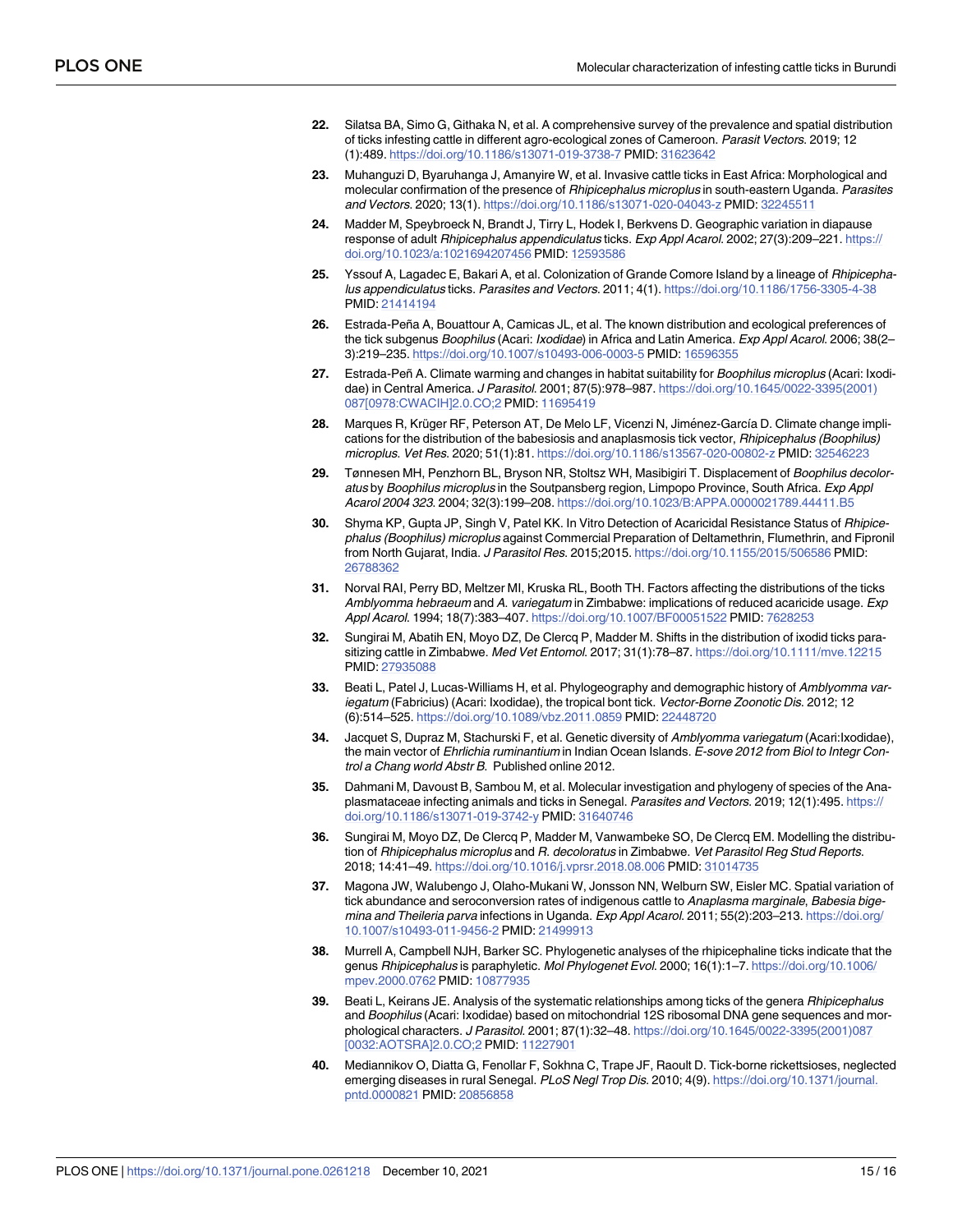- <span id="page-14-0"></span>**[22](#page-8-0).** Silatsa BA, Simo G, Githaka N, et al. A comprehensive survey of the prevalence and spatial distribution of ticks infesting cattle in different agro-ecological zones of Cameroon. Parasit Vectors. 2019; 12 (1):489. <https://doi.org/10.1186/s13071-019-3738-7> PMID: [31623642](http://www.ncbi.nlm.nih.gov/pubmed/31623642)
- **[23](#page-9-0).** Muhanguzi D, Byaruhanga J, Amanyire W, et al. Invasive cattle ticks in East Africa: Morphological and molecular confirmation of the presence of Rhipicephalus microplus in south-eastern Uganda. Parasites and Vectors. 2020; 13(1). <https://doi.org/10.1186/s13071-020-04043-z> PMID: [32245511](http://www.ncbi.nlm.nih.gov/pubmed/32245511)
- **[24](#page-9-0).** Madder M, Speybroeck N, Brandt J, Tirry L, Hodek I, Berkvens D. Geographic variation in diapause response of adult Rhipicephalus appendiculatus ticks. Exp Appl Acarol. 2002; 27(3):209–221. [https://](https://doi.org/10.1023/a%3A1021694207456) [doi.org/10.1023/a:1021694207456](https://doi.org/10.1023/a%3A1021694207456) PMID: [12593586](http://www.ncbi.nlm.nih.gov/pubmed/12593586)
- **[25](#page-9-0).** Yssouf A, Lagadec E, Bakari A, et al. Colonization of Grande Comore Island by a lineage of Rhipicephalus appendiculatus ticks. Parasites and Vectors. 2011; 4(1). <https://doi.org/10.1186/1756-3305-4-38> PMID: [21414194](http://www.ncbi.nlm.nih.gov/pubmed/21414194)
- **[26](#page-10-0).** Estrada-Peña A, Bouattour A, Camicas JL, et al. The known distribution and ecological preferences of the tick subgenus Boophilus (Acari: Ixodidae) in Africa and Latin America. Exp Appl Acarol. 2006; 38(2-3):219–235. <https://doi.org/10.1007/s10493-006-0003-5> PMID: [16596355](http://www.ncbi.nlm.nih.gov/pubmed/16596355)
- **[27](#page-10-0).** Estrada-Peñ A. Climate warming and changes in habitat suitability for Boophilus microplus (Acari: Ixodidae) in Central America. J Parasitol. 2001; 87(5):978–987. [https://doi.org/10.1645/0022-3395\(2001\)](https://doi.org/10.1645/0022-3395%282001%29087%5B0978%3ACWACIH%5D2.0.CO%3B2) [087\[0978:CWACIH\]2.0.CO;2](https://doi.org/10.1645/0022-3395%282001%29087%5B0978%3ACWACIH%5D2.0.CO%3B2) PMID: [11695419](http://www.ncbi.nlm.nih.gov/pubmed/11695419)
- **[28](#page-10-0).** Marques R, Krüger RF, Peterson AT, De Melo LF, Vicenzi N, Jiménez-García D, Climate change implications for the distribution of the babesiosis and anaplasmosis tick vector, Rhipicephalus (Boophilus) microplus. Vet Res. 2020; 51(1):81. <https://doi.org/10.1186/s13567-020-00802-z> PMID: [32546223](http://www.ncbi.nlm.nih.gov/pubmed/32546223)
- **[29](#page-10-0).** Tønnesen MH, Penzhorn BL, Bryson NR, Stoltsz WH, Masibigiri T. Displacement of Boophilus decoloratus by Boophilus microplus in the Soutpansberg region, Limpopo Province, South Africa. Exp Appl Acarol 2004 323. 2004; 32(3):199–208. [https://doi.org/10.1023/B:APPA.0000021789.44411.B5](https://doi.org/10.1023/B%3AAPPA.0000021789.44411.B5)
- **[30](#page-10-0).** Shyma KP, Gupta JP, Singh V, Patel KK. In Vitro Detection of Acaricidal Resistance Status of Rhipicephalus (Boophilus) microplus against Commercial Preparation of Deltamethrin, Flumethrin, and Fipronil from North Gujarat, India. J Parasitol Res. 2015;2015. <https://doi.org/10.1155/2015/506586> PMID: [26788362](http://www.ncbi.nlm.nih.gov/pubmed/26788362)
- **[31](#page-10-0).** Norval RAI, Perry BD, Meltzer MI, Kruska RL, Booth TH. Factors affecting the distributions of the ticks Amblyomma hebraeum and A. variegatum in Zimbabwe: implications of reduced acaricide usage. Exp Appl Acarol. 1994; 18(7):383–407. <https://doi.org/10.1007/BF00051522> PMID: [7628253](http://www.ncbi.nlm.nih.gov/pubmed/7628253)
- **[32](#page-10-0).** Sungirai M, Abatih EN, Moyo DZ, De Clercq P, Madder M. Shifts in the distribution of ixodid ticks parasitizing cattle in Zimbabwe. Med Vet Entomol. 2017; 31(1):78–87. <https://doi.org/10.1111/mve.12215> PMID: [27935088](http://www.ncbi.nlm.nih.gov/pubmed/27935088)
- **[33](#page-10-0).** Beati L, Patel J, Lucas-Williams H, et al. Phylogeography and demographic history of Amblyomma variegatum (Fabricius) (Acari: Ixodidae), the tropical bont tick. Vector-Borne Zoonotic Dis. 2012; 12 (6):514–525. <https://doi.org/10.1089/vbz.2011.0859> PMID: [22448720](http://www.ncbi.nlm.nih.gov/pubmed/22448720)
- **34.** Jacquet S, Dupraz M, Stachurski F, et al. Genetic diversity of Amblyomma variegatum (Acari:Ixodidae), the main vector of Ehrlichia ruminantium in Indian Ocean Islands. E-sove 2012 from Biol to Integr Control a Chang world Abstr B. Published online 2012.
- **[35](#page-11-0).** Dahmani M, Davoust B, Sambou M, et al. Molecular investigation and phylogeny of species of the Anaplasmataceae infecting animals and ticks in Senegal. Parasites and Vectors. 2019; 12(1):495. [https://](https://doi.org/10.1186/s13071-019-3742-y) [doi.org/10.1186/s13071-019-3742-y](https://doi.org/10.1186/s13071-019-3742-y) PMID: [31640746](http://www.ncbi.nlm.nih.gov/pubmed/31640746)
- **[36](#page-11-0).** Sungirai M, Moyo DZ, De Clercq P, Madder M, Vanwambeke SO, De Clercq EM. Modelling the distribution of Rhipicephalus microplus and R. decoloratus in Zimbabwe. Vet Parasitol Reg Stud Reports. 2018; 14:41–49. <https://doi.org/10.1016/j.vprsr.2018.08.006> PMID: [31014735](http://www.ncbi.nlm.nih.gov/pubmed/31014735)
- **[37](#page-11-0).** Magona JW, Walubengo J, Olaho-Mukani W, Jonsson NN, Welburn SW, Eisler MC. Spatial variation of tick abundance and seroconversion rates of indigenous cattle to Anaplasma marginale, Babesia bigemina and Theileria parva infections in Uganda. Exp Appl Acarol. 2011; 55(2):203-213. [https://doi.org/](https://doi.org/10.1007/s10493-011-9456-2) [10.1007/s10493-011-9456-2](https://doi.org/10.1007/s10493-011-9456-2) PMID: [21499913](http://www.ncbi.nlm.nih.gov/pubmed/21499913)
- **[38](#page-11-0).** Murrell A, Campbell NJH, Barker SC. Phylogenetic analyses of the rhipicephaline ticks indicate that the genus Rhipicephalus is paraphyletic. Mol Phylogenet Evol. 2000; 16(1):1-7. [https://doi.org/10.1006/](https://doi.org/10.1006/mpev.2000.0762) [mpev.2000.0762](https://doi.org/10.1006/mpev.2000.0762) PMID: [10877935](http://www.ncbi.nlm.nih.gov/pubmed/10877935)
- **[39](#page-11-0).** Beati L, Keirans JE. Analysis of the systematic relationships among ticks of the genera Rhipicephalus and Boophilus (Acari: Ixodidae) based on mitochondrial 12S ribosomal DNA gene sequences and morphological characters. J Parasitol. 2001; 87(1):32–48. [https://doi.org/10.1645/0022-3395\(2001\)087](https://doi.org/10.1645/0022-3395%282001%29087%5B0032%3AAOTSRA%5D2.0.CO%3B2) [\[0032:AOTSRA\]2.0.CO;2](https://doi.org/10.1645/0022-3395%282001%29087%5B0032%3AAOTSRA%5D2.0.CO%3B2) PMID: [11227901](http://www.ncbi.nlm.nih.gov/pubmed/11227901)
- **[40](#page-11-0).** Mediannikov O, Diatta G, Fenollar F, Sokhna C, Trape JF, Raoult D. Tick-borne rickettsioses, neglected emerging diseases in rural Senegal. PLoS Negl Trop Dis. 2010; 4(9). [https://doi.org/10.1371/journal.](https://doi.org/10.1371/journal.pntd.0000821) [pntd.0000821](https://doi.org/10.1371/journal.pntd.0000821) PMID: [20856858](http://www.ncbi.nlm.nih.gov/pubmed/20856858)